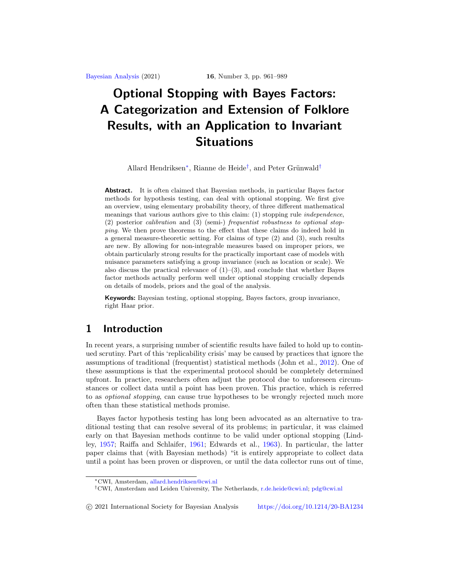# <span id="page-0-2"></span>**Optional Stopping with Bayes Factors: A Categorization and Extension of Folklore Results, with an Application to Invariant Situations**

Allard Hendriksen<sup>[∗](#page-0-0)</sup>, Rianne de Heide<sup>[†](#page-0-1)</sup>, and Peter Grünwald<sup>†</sup>

**Abstract.** It is often claimed that Bayesian methods, in particular Bayes factor methods for hypothesis testing, can deal with optional stopping. We first give an overview, using elementary probability theory, of three different mathematical meanings that various authors give to this claim: (1) stopping rule independence, (2) posterior calibration and (3) (semi-) frequentist robustness to optional stopping. We then prove theorems to the effect that these claims do indeed hold in a general measure-theoretic setting. For claims of type (2) and (3), such results are new. By allowing for non-integrable measures based on improper priors, we obtain particularly strong results for the practically important case of models with nuisance parameters satisfying a group invariance (such as location or scale). We also discuss the practical relevance of  $(1)$ – $(3)$ , and conclude that whether Bayes factor methods actually perform well under optional stopping crucially depends on details of models, priors and the goal of the analysis.

**Keywords:** Bayesian testing, optional stopping, Bayes factors, group invariance, right Haar prior.

# **1 Introduction**

In recent years, a surprising number of scientific results have failed to hold up to continued scrutiny. Part of this 'replicability crisis' may be caused by practices that ignore the assumptions of traditional (frequentist) statistical methods (John et al., [2012](#page-27-0)). One of these assumptions is that the experimental protocol should be completely determined upfront. In practice, researchers often adjust the protocol due to unforeseen circumstances or collect data until a point has been proven. This practice, which is referred to as optional stopping, can cause true hypotheses to be wrongly rejected much more often than these statistical methods promise.

Bayes factor hypothesis testing has long been advocated as an alternative to traditional testing that can resolve several of its problems; in particular, it was claimed early on that Bayesian methods continue to be valid under optional stopping (Lindley, [1957;](#page-27-1) Raiffa and Schlaifer, [1961;](#page-27-2) Edwards et al., [1963\)](#page-26-0). In particular, the latter paper claims that (with Bayesian methods) "it is entirely appropriate to collect data until a point has been proven or disproven, or until the data collector runs out of time,

-c 2021 International Society for Bayesian Analysis <https://doi.org/10.1214/20-BA1234>

<span id="page-0-0"></span><sup>∗</sup>CWI, Amsterdam, [allard.hendriksen@cwi.nl](mailto:allard.hendriksen@cwi.nl)

<span id="page-0-1"></span><sup>†</sup>CWI, Amsterdam and Leiden University, The Netherlands, [r.de.heide@cwi.nl;](mailto:r.de.heide@cwi.nl) [pdg@cwi.nl](mailto:pdg@cwi.nl)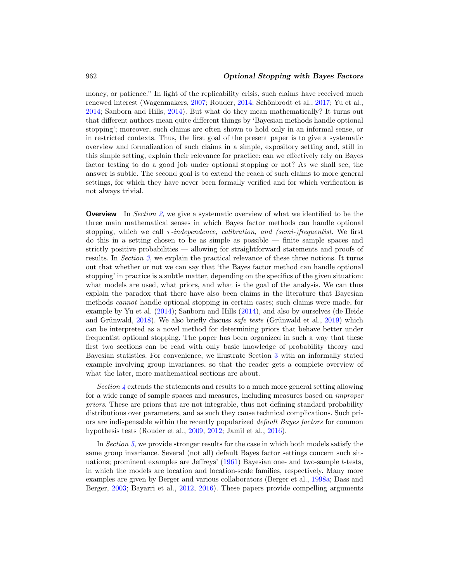<span id="page-1-0"></span>money, or patience." In light of the replicability crisis, such claims have received much renewed interest (Wagenmakers, [2007;](#page-28-0) Rouder, [2014](#page-27-3); Schönbrodt et al., [2017;](#page-27-4) Yu et al., [2014;](#page-28-1) Sanborn and Hills, [2014](#page-27-5)). But what do they mean mathematically? It turns out that different authors mean quite different things by 'Bayesian methods handle optional stopping'; moreover, such claims are often shown to hold only in an informal sense, or in restricted contexts. Thus, the first goal of the present paper is to give a systematic overview and formalization of such claims in a simple, expository setting and, still in this simple setting, explain their relevance for practice: can we effectively rely on Bayes factor testing to do a good job under optional stopping or not? As we shall see, the answer is subtle. The second goal is to extend the reach of such claims to more general settings, for which they have never been formally verified and for which verification is not always trivial.

**Overview** In Section [2](#page-2-0), we give a systematic overview of what we identified to be the three main mathematical senses in which Bayes factor methods can handle optional stopping, which we call  $\tau$ -independence, calibration, and (semi-)frequentist. We first do this in a setting chosen to be as simple as possible — finite sample spaces and strictly positive probabilities — allowing for straightforward statements and proofs of results. In Section [3](#page-7-0), we explain the practical relevance of these three notions. It turns out that whether or not we can say that 'the Bayes factor method can handle optional stopping' in practice is a subtle matter, depending on the specifics of the given situation: what models are used, what priors, and what is the goal of the analysis. We can thus explain the paradox that there have also been claims in the literature that Bayesian methods cannot handle optional stopping in certain cases; such claims were made, for example by Yu et al. [\(2014\)](#page-28-1); Sanborn and Hills [\(2014](#page-27-5)), and also by ourselves (de Heide and Grünwald,  $2018$ ). We also briefly discuss safe tests (Grünwald et al.,  $2019$ ) which can be interpreted as a novel method for determining priors that behave better under frequentist optional stopping. The paper has been organized in such a way that these first two sections can be read with only basic knowledge of probability theory and Bayesian statistics. For convenience, we illustrate Section [3](#page-7-0) with an informally stated example involving group invariances, so that the reader gets a complete overview of what the later, more mathematical sections are about.

Section  $\lambda$  extends the statements and results to a much more general setting allowing for a wide range of sample spaces and measures, including measures based on improper priors. These are priors that are not integrable, thus not defining standard probability distributions over parameters, and as such they cause technical complications. Such priors are indispensable within the recently popularized default Bayes factors for common hypothesis tests (Rouder et al., [2009](#page-27-6), [2012](#page-27-7); Jamil et al., [2016\)](#page-27-8).

In Section [5](#page-16-0), we provide stronger results for the case in which both models satisfy the same group invariance. Several (not all) default Bayes factor settings concern such situations; prominent examples are Jeffreys' [\(1961\)](#page-27-9) Bayesian one- and two-sample t-tests, in which the models are location and location-scale families, respectively. Many more examples are given by Berger and various collaborators (Berger et al., [1998a;](#page-25-0) Dass and Berger, [2003](#page-26-3); Bayarri et al., [2012,](#page-25-1) [2016](#page-25-2)). These papers provide compelling arguments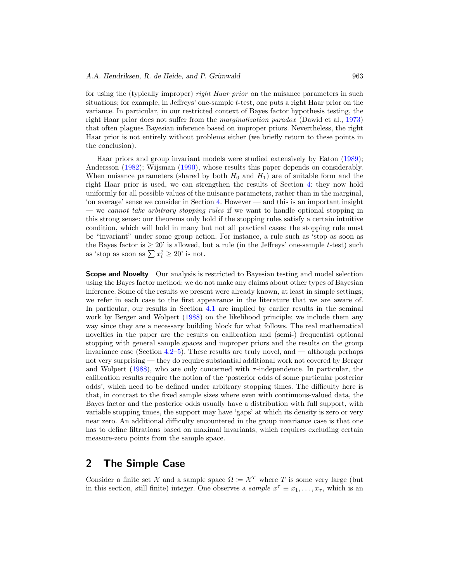<span id="page-2-1"></span>for using the (typically improper) right Haar prior on the nuisance parameters in such situations; for example, in Jeffreys' one-sample  $t$ -test, one puts a right Haar prior on the variance. In particular, in our restricted context of Bayes factor hypothesis testing, the right Haar prior does not suffer from the marginalization paradox (Dawid et al., [1973\)](#page-26-4) that often plagues Bayesian inference based on improper priors. Nevertheless, the right Haar prior is not entirely without problems either (we briefly return to these points in the conclusion).

Haar priors and group invariant models were studied extensively by Eaton [\(1989\)](#page-26-5); Andersson [\(1982](#page-25-3)); Wijsman [\(1990\)](#page-28-2), whose results this paper depends on considerably. When nuisance parameters (shared by both  $H_0$  and  $H_1$ ) are of suitable form and the right Haar prior is used, we can strengthen the results of Section [4:](#page-11-0) they now hold uniformly for all possible values of the nuisance parameters, rather than in the marginal, 'on average' sense we consider in Section [4.](#page-11-0) However — and this is an important insight — we cannot take arbitrary stopping rules if we want to handle optional stopping in this strong sense: our theorems only hold if the stopping rules satisfy a certain intuitive condition, which will hold in many but not all practical cases: the stopping rule must be "invariant" under some group action. For instance, a rule such as 'stop as soon as the Bayes factor is  $\geq 20'$  is allowed, but a rule (in the Jeffreys' one-sample t-test) such as 'stop as soon as  $\sum x_i^2 \ge 20$ ' is not.

**Scope and Novelty** Our analysis is restricted to Bayesian testing and model selection using the Bayes factor method; we do not make any claims about other types of Bayesian inference. Some of the results we present were already known, at least in simple settings; we refer in each case to the first appearance in the literature that we are aware of. In particular, our results in Section [4.1](#page-13-0) are implied by earlier results in the seminal work by Berger and Wolpert [\(1988\)](#page-26-6) on the likelihood principle; we include them any way since they are a necessary building block for what follows. The real mathematical novelties in the paper are the results on calibration and (semi-) frequentist optional stopping with general sample spaces and improper priors and the results on the group invariance case (Section  $4.2-5$  $4.2-5$ ). These results are truly novel, and — although perhaps not very surprising — they do require substantial additional work not covered by Berger and Wolpert [\(1988](#page-26-6)), who are only concerned with  $\tau$ -independence. In particular, the calibration results require the notion of the 'posterior odds of some particular posterior odds', which need to be defined under arbitrary stopping times. The difficulty here is that, in contrast to the fixed sample sizes where even with continuous-valued data, the Bayes factor and the posterior odds usually have a distribution with full support, with variable stopping times, the support may have 'gaps' at which its density is zero or very near zero. An additional difficulty encountered in the group invariance case is that one has to define filtrations based on maximal invariants, which requires excluding certain measure-zero points from the sample space.

# <span id="page-2-0"></span>**2 The Simple Case**

Consider a finite set X and a sample space  $\Omega = \mathcal{X}^T$  where T is some very large (but in this section, still finite) integer. One observes a sample  $x^{\tau} \equiv x_1, \ldots, x_{\tau}$ , which is an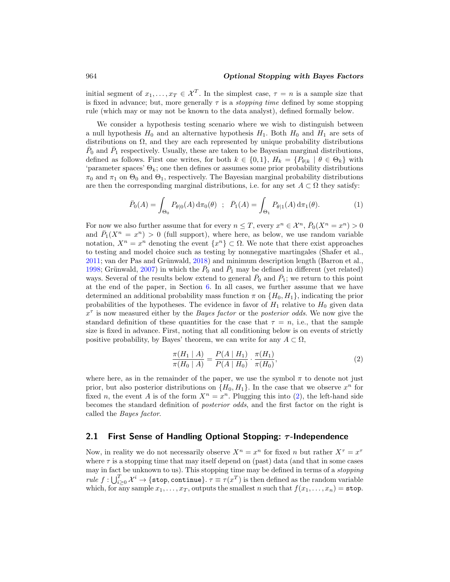<span id="page-3-2"></span>initial segment of  $x_1, \ldots, x_T \in \mathcal{X}^T$ . In the simplest case,  $\tau = n$  is a sample size that is fixed in advance; but, more generally  $\tau$  is a *stopping time* defined by some stopping rule (which may or may not be known to the data analyst), defined formally below.

We consider a hypothesis testing scenario where we wish to distinguish between a null hypothesis  $H_0$  and an alternative hypothesis  $H_1$ . Both  $H_0$  and  $H_1$  are sets of distributions on  $\Omega$ , and they are each represented by unique probability distributions  $P_0$  and  $P_1$  respectively. Usually, these are taken to be Bayesian marginal distributions, defined as follows. First one writes, for both  $k \in \{0,1\}$ ,  $H_k = \{P_{\theta|k} \mid \theta \in \Theta_k\}$  with 'parameter spaces'  $\Theta_k$ ; one then defines or assumes some prior probability distributions  $\pi_0$  and  $\pi_1$  on  $\Theta_0$  and  $\Theta_1$ , respectively. The Bayesian marginal probability distributions are then the corresponding marginal distributions, i.e. for any set  $A \subset \Omega$  they satisfy:

<span id="page-3-1"></span>
$$
\bar{P}_0(A) = \int_{\Theta_0} P_{\theta|0}(A) d\pi_0(\theta) \; ; \; \bar{P}_1(A) = \int_{\Theta_1} P_{\theta|1}(A) d\pi_1(\theta). \tag{1}
$$

For now we also further assume that for every  $n \leq T$ , every  $x^n \in \mathcal{X}^n$ ,  $\overline{P}_0(X^n = x^n) > 0$ and  $\bar{P}_1(X^n = x^n) > 0$  (full support), where here, as below, we use random variable notation,  $X^n = x^n$  denoting the event  $\{x^n\} \subset \Omega$ . We note that there exist approaches to testing and model choice such as testing by nonnegative martingales (Shafer et al.,  $2011$ ; van der Pas and Grünwald,  $2018$ ) and minimum description length (Barron et al., [1998;](#page-25-4) Grünwald, [2007](#page-26-7)) in which the  $\bar{P}_0$  and  $\bar{P}_1$  may be defined in different (yet related) ways. Several of the results below extend to general  $\bar{P}_0$  and  $\bar{P}_1$ ; we return to this point at the end of the paper, in Section [6.](#page-23-0) In all cases, we further assume that we have determined an additional probability mass function  $\pi$  on  $\{H_0, H_1\}$ , indicating the prior probabilities of the hypotheses. The evidence in favor of  $H_1$  relative to  $H_0$  given data  $x^{\tau}$  is now measured either by the *Bayes factor* or the *posterior odds*. We now give the standard definition of these quantities for the case that  $\tau = n$ , i.e., that the sample size is fixed in advance. First, noting that all conditioning below is on events of strictly positive probability, by Bayes' theorem, we can write for any  $A \subset \Omega$ ,

<span id="page-3-0"></span>
$$
\frac{\pi(H_1 \mid A)}{\pi(H_0 \mid A)} = \frac{P(A \mid H_1)}{P(A \mid H_0)} \cdot \frac{\pi(H_1)}{\pi(H_0)},\tag{2}
$$

where here, as in the remainder of the paper, we use the symbol  $\pi$  to denote not just prior, but also posterior distributions on  $\{H_0, H_1\}$ . In the case that we observe  $x^n$  for fixed n, the event A is of the form  $X^n = x^n$ . Plugging this into [\(2\)](#page-3-0), the left-hand side becomes the standard definition of posterior odds, and the first factor on the right is called the Bayes factor.

### **2.1 First Sense of Handling Optional Stopping:** *τ* **-Independence**

Now, in reality we do not necessarily observe  $X^n = x^n$  for fixed n but rather  $X^\tau = x^\tau$ where  $\tau$  is a stopping time that may itself depend on (past) data (and that in some cases may in fact be unknown to us). This stopping time may be defined in terms of a stopping  $rule \ f:\bigcup_{i\geq 0}^T \mathcal{X}^i \to \{\texttt{stop}, \texttt{continue}\} . \ \tau \equiv \tau(x^T) \ \text{is then defined as the random variable}$ which, for any sample  $x_1, \ldots, x_T$ , outputs the smallest n such that  $f(x_1, \ldots, x_n) = \texttt{stop}$ .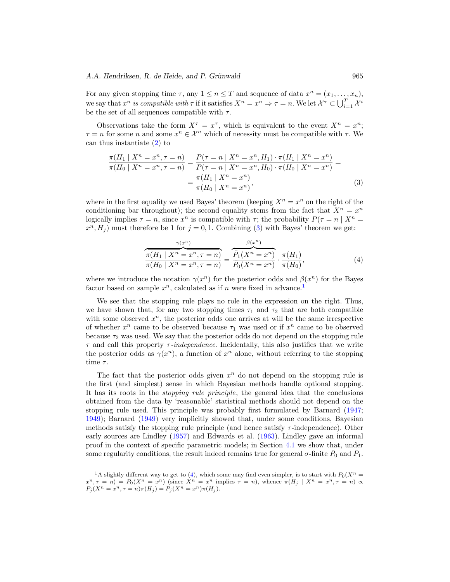#### <span id="page-4-3"></span>*A.A. Hendriksen, R. de Heide, and P. Grünwald* 965

For any given stopping time  $\tau$ , any  $1 \leq n \leq T$  and sequence of data  $x^n = (x_1, \ldots, x_n)$ , we say that  $x^n$  is compatible with  $\tau$  if it satisfies  $X^n = x^n \Rightarrow \tau = n$ . We let  $\mathcal{X}^{\tau} \subset \bigcup_{i=1}^T \mathcal{X}^i$ be the set of all sequences compatible with  $\tau$ .

Observations take the form  $X^{\tau} = x^{\tau}$ , which is equivalent to the event  $X^n = x^n$ ;  $\tau = n$  for some n and some  $x^n \in \mathcal{X}^n$  which of necessity must be compatible with  $\tau$ . We can thus instantiate [\(2\)](#page-3-0) to

$$
\frac{\pi(H_1 \mid X^n = x^n, \tau = n)}{\pi(H_0 \mid X^n = x^n, \tau = n)} = \frac{P(\tau = n \mid X^n = x^n, H_1) \cdot \pi(H_1 \mid X^n = x^n)}{P(\tau = n \mid X^n = x^n, H_0) \cdot \pi(H_0 \mid X^n = x^n)} = \frac{\pi(H_1 \mid X^n = x^n)}{\pi(H_0 \mid X^n = x^n)},
$$
\n(3)

where in the first equality we used Bayes' theorem (keeping  $X^n = x^n$  on the right of the conditioning bar throughout); the second equality stems from the fact that  $X^n = x^n$ logically implies  $\tau = n$ , since  $x^n$  is compatible with  $\tau$ ; the probability  $P(\tau = n \mid X^n =$  $x^n, H_i$  must therefore be 1 for  $j = 0, 1$ . Combining [\(3\)](#page-4-0) with Bayes' theorem we get:

<span id="page-4-2"></span><span id="page-4-0"></span>
$$
\frac{\gamma(x^n)}{\pi(H_1 \mid X^n = x^n, \tau = n)} = \frac{\beta(x^n)}{\bar{P}_1(X^n = x^n)} \cdot \frac{\pi(H_1)}{\pi(H_0)} \cdot \frac{\pi(H_1)}{\pi(H_0)},
$$
\n(4)

where we introduce the notation  $\gamma(x^n)$  for the posterior odds and  $\beta(x^n)$  for the Bayes factor based on sample  $x^n$ , calculated as if n were fixed in advance.<sup>[1](#page-4-1)</sup>

We see that the stopping rule plays no role in the expression on the right. Thus, we have shown that, for any two stopping times  $\tau_1$  and  $\tau_2$  that are both compatible with some observed  $x^n$ , the posterior odds one arrives at will be the same irrespective of whether  $x^n$  came to be observed because  $\tau_1$  was used or if  $x^n$  came to be observed because  $\tau_2$  was used. We say that the posterior odds do not depend on the stopping rule  $\tau$  and call this property  $\tau$ -independence. Incidentally, this also justifies that we write the posterior odds as  $\gamma(x^n)$ , a function of  $x^n$  alone, without referring to the stopping time  $\tau$ .

The fact that the posterior odds given  $x^n$  do not depend on the stopping rule is the first (and simplest) sense in which Bayesian methods handle optional stopping. It has its roots in the stopping rule principle, the general idea that the conclusions obtained from the data by 'reasonable' statistical methods should not depend on the stopping rule used. This principle was probably first formulated by Barnard [\(1947;](#page-25-5) [1949\)](#page-25-6); Barnard [\(1949\)](#page-25-6) very implicitly showed that, under some conditions, Bayesian methods satisfy the stopping rule principle (and hence satisfy  $\tau$ -independence). Other early sources are Lindley [\(1957](#page-27-1)) and Edwards et al. [\(1963\)](#page-26-0). Lindley gave an informal proof in the context of specific parametric models; in Section [4.1](#page-13-0) we show that, under some regularity conditions, the result indeed remains true for general  $\sigma$ -finite  $P_0$  and  $P_1$ .

<span id="page-4-1"></span><sup>&</sup>lt;sup>1</sup>A slightly different way to get to [\(4\)](#page-4-2), which some may find even simpler, is to start with  $\bar{P}_0(X^n =$  $x^n, \tau = n) = \bar{P}_0(X^n = x^n)$  (since  $X^n = x^n$  implies  $\tau = n$ ), whence  $\pi(H_j \mid X^n = x^n, \tau = n) \propto \bar{P}_j(X^n = x^n, \tau = n) \pi(H_j) = \bar{P}_j(X^n = x^n) \pi(H_j)$ .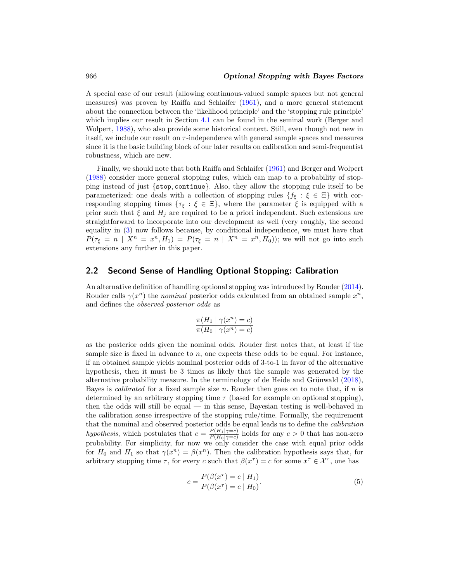<span id="page-5-2"></span>A special case of our result (allowing continuous-valued sample spaces but not general measures) was proven by Raiffa and Schlaifer [\(1961](#page-27-2)), and a more general statement about the connection between the 'likelihood principle' and the 'stopping rule principle' which implies our result in Section [4.1](#page-13-0) can be found in the seminal work (Berger and Wolpert, [1988\)](#page-26-6), who also provide some historical context. Still, even though not new in itself, we include our result on  $\tau$ -independence with general sample spaces and measures since it is the basic building block of our later results on calibration and semi-frequentist robustness, which are new.

Finally, we should note that both Raiffa and Schlaifer [\(1961](#page-27-2)) and Berger and Wolpert [\(1988\)](#page-26-6) consider more general stopping rules, which can map to a probability of stopping instead of just {stop, continue}. Also, they allow the stopping rule itself to be parameterized: one deals with a collection of stopping rules  $\{f_{\xi} : \xi \in \Xi\}$  with corresponding stopping times  $\{\tau_{\xi} : \xi \in \Xi\}$ , where the parameter  $\xi$  is equipped with a prior such that  $\xi$  and  $H_i$  are required to be a priori independent. Such extensions are straightforward to incorporate into our development as well (very roughly, the second equality in [\(3\)](#page-4-0) now follows because, by conditional independence, we must have that  $P(\tau_{\xi} = n \mid X^n = x^n, H_1) = P(\tau_{\xi} = n \mid X^n = x^n, H_0)$ ; we will not go into such extensions any further in this paper.

### <span id="page-5-1"></span>**2.2 Second Sense of Handling Optional Stopping: Calibration**

An alternative definition of handling optional stopping was introduced by Rouder [\(2014](#page-27-3)). Rouder calls  $\gamma(x^n)$  the nominal posterior odds calculated from an obtained sample  $x^n$ , and defines the observed posterior odds as

$$
\frac{\pi(H_1 \mid \gamma(x^n) = c)}{\pi(H_0 \mid \gamma(x^n) = c)}
$$

as the posterior odds given the nominal odds. Rouder first notes that, at least if the sample size is fixed in advance to  $n$ , one expects these odds to be equal. For instance, if an obtained sample yields nominal posterior odds of 3-to-1 in favor of the alternative hypothesis, then it must be 3 times as likely that the sample was generated by the alternative probability measure. In the terminology of de Heide and Grünwald  $(2018)$ , Bayes is *calibrated* for a fixed sample size n. Rouder then goes on to note that, if n is determined by an arbitrary stopping time  $\tau$  (based for example on optional stopping), then the odds will still be equal — in this sense, Bayesian testing is well-behaved in the calibration sense irrespective of the stopping rule/time. Formally, the requirement that the nominal and observed posterior odds be equal leads us to define the calibration hypothesis, which postulates that  $c = \frac{P(H_1|\gamma=c)}{P(H_0|\gamma=c)}$  holds for any  $c > 0$  that has non-zero probability. For simplicity, for now we only consider the case with equal prior odds for  $H_0$  and  $H_1$  so that  $\gamma(x^n) = \beta(x^n)$ . Then the calibration hypothesis says that, for arbitrary stopping time  $\tau$ , for every c such that  $\beta(x^{\tau}) = c$  for some  $x^{\tau} \in \mathcal{X}^{\tau}$ , one has

<span id="page-5-0"></span>
$$
c = \frac{P(\beta(x^{\tau}) = c | H_1)}{P(\beta(x^{\tau}) = c | H_0)}.
$$
\n(5)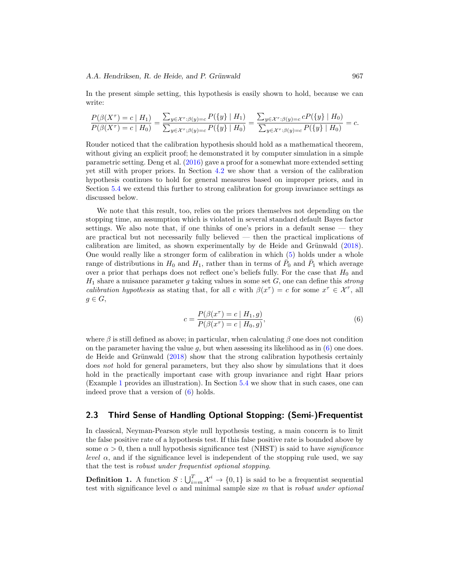<span id="page-6-2"></span>In the present simple setting, this hypothesis is easily shown to hold, because we can write:

$$
\frac{P(\beta(X^{\tau}) = c | H_1)}{P(\beta(X^{\tau}) = c | H_0)} = \frac{\sum_{y \in \mathcal{X}^{\tau} : \beta(y) = c} P(\{y\} | H_1)}{\sum_{y \in \mathcal{X}^{\tau} : \beta(y) = c} P(\{y\} | H_0)} = \frac{\sum_{y \in \mathcal{X}^{\tau} : \beta(y) = c} c P(\{y\} | H_0)}{\sum_{y \in \mathcal{X}^{\tau} : \beta(y) = c} P(\{y\} | H_0)} = c.
$$

Rouder noticed that the calibration hypothesis should hold as a mathematical theorem, without giving an explicit proof; he demonstrated it by computer simulation in a simple parametric setting. Deng et al. [\(2016\)](#page-26-8) gave a proof for a somewhat more extended setting yet still with proper priors. In Section [4.2](#page-13-1) we show that a version of the calibration hypothesis continues to hold for general measures based on improper priors, and in Section [5.4](#page-21-0) we extend this further to strong calibration for group invariance settings as discussed below.

We note that this result, too, relies on the priors themselves not depending on the stopping time, an assumption which is violated in several standard default Bayes factor settings. We also note that, if one thinks of one's priors in a default sense  $-$  they are practical but not necessarily fully believed — then the practical implications of calibration are limited, as shown experimentally by de Heide and Grünwald  $(2018)$ . One would really like a stronger form of calibration in which [\(5\)](#page-5-0) holds under a whole range of distributions in  $H_0$  and  $H_1$ , rather than in terms of  $P_0$  and  $P_1$  which average over a prior that perhaps does not reflect one's beliefs fully. For the case that  $H_0$  and  $H_1$  share a nuisance parameter g taking values in some set G, one can define this strong calibration hypothesis as stating that, for all c with  $\beta(x^{\tau}) = c$  for some  $x^{\tau} \in \mathcal{X}^{\tau}$ , all  $g \in G$ ,

<span id="page-6-0"></span>
$$
c = \frac{P(\beta(x^{\tau}) = c | H_1, g)}{P(\beta(x^{\tau}) = c | H_0, g)},
$$
\n(6)

where  $\beta$  is still defined as above; in particular, when calculating  $\beta$  one does not condition on the parameter having the value g, but when assessing its likelihood as in  $(6)$  one does. de Heide and Grünwald  $(2018)$  show that the strong calibration hypothesis certainly does not hold for general parameters, but they also show by simulations that it does hold in the practically important case with group invariance and right Haar priors (Example [1](#page-9-0) provides an illustration). In Section [5.4](#page-21-0) we show that in such cases, one can indeed prove that a version of [\(6\)](#page-6-0) holds.

### **2.3 Third Sense of Handling Optional Stopping: (Semi-)Frequentist**

In classical, Neyman-Pearson style null hypothesis testing, a main concern is to limit the false positive rate of a hypothesis test. If this false positive rate is bounded above by some  $\alpha > 0$ , then a null hypothesis significance test (NHST) is said to have *significance level*  $\alpha$ , and if the significance level is independent of the stopping rule used, we say that the test is robust under frequentist optional stopping.

<span id="page-6-1"></span>**Definition 1.** A function  $S: \bigcup_{i=m}^{T} \mathcal{X}^i \to \{0,1\}$  is said to be a frequentist sequential test with significance level  $\alpha$  and minimal sample size m that is robust under optional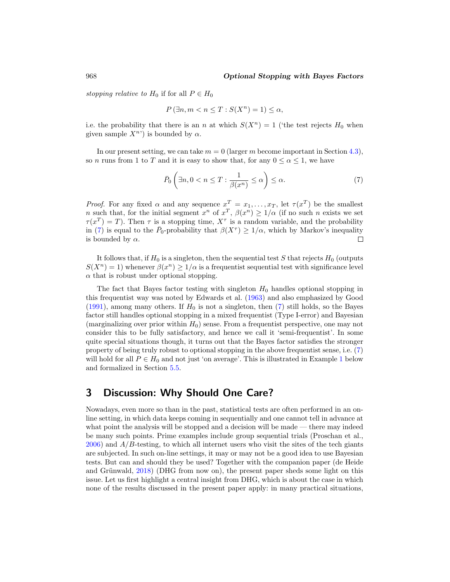<span id="page-7-2"></span>stopping relative to  $H_0$  if for all  $P \in H_0$ 

$$
P(\exists n, m < n \le T : S(X^n) = 1) \le \alpha,
$$

i.e. the probability that there is an n at which  $S(X^n) = 1$  ('the test rejects  $H_0$  when given sample  $X^{n}$ ) is bounded by  $\alpha$ .

In our present setting, we can take  $m = 0$  (larger m become important in Section [4.3\)](#page-15-0), so n runs from 1 to T and it is easy to show that, for any  $0 \le \alpha \le 1$ , we have

<span id="page-7-1"></span>
$$
\bar{P}_0\left(\exists n, 0 < n \le T : \frac{1}{\beta(x^n)} \le \alpha\right) \le \alpha. \tag{7}
$$

*Proof.* For any fixed  $\alpha$  and any sequence  $x^T = x_1, \ldots, x_T$ , let  $\tau(x^T)$  be the smallest n such that, for the initial segment  $x^n$  of  $x^T$ ,  $\beta(x^n) \geq 1/\alpha$  (if no such n exists we set  $\tau(x^T) = T$ ). Then  $\tau$  is a stopping time,  $X^{\tau}$  is a random variable, and the probability in [\(7\)](#page-7-1) is equal to the  $\bar{P}_0$ -probability that  $\beta(X^{\tau}) \geq 1/\alpha$ , which by Markov's inequality is bounded by  $\alpha$ .  $\Box$ 

It follows that, if  $H_0$  is a singleton, then the sequential test S that rejects  $H_0$  (outputs  $S(X^n) = 1$ ) whenever  $\beta(x^n) \geq 1/\alpha$  is a frequential test with significance level  $\alpha$  that is robust under optional stopping.

The fact that Bayes factor testing with singleton  $H_0$  handles optional stopping in this frequentist way was noted by Edwards et al. [\(1963\)](#page-26-0) and also emphasized by Good [\(1991\)](#page-26-9), among many others. If  $H_0$  is not a singleton, then [\(7\)](#page-7-1) still holds, so the Bayes factor still handles optional stopping in a mixed frequentist (Type I-error) and Bayesian (marginalizing over prior within  $H_0$ ) sense. From a frequentist perspective, one may not consider this to be fully satisfactory, and hence we call it 'semi-frequentist'. In some quite special situations though, it turns out that the Bayes factor satisfies the stronger property of being truly robust to optional stopping in the above frequentist sense, i.e. [\(7\)](#page-7-1) will hold for all  $P \in H_0$  and not just 'on average'. This is illustrated in Example [1](#page-9-0) below and formalized in Section [5.5.](#page-22-0)

# <span id="page-7-0"></span>**3 Discussion: Why Should One Care?**

Nowadays, even more so than in the past, statistical tests are often performed in an online setting, in which data keeps coming in sequentially and one cannot tell in advance at what point the analysis will be stopped and a decision will be made — there may indeed be many such points. Prime examples include group sequential trials (Proschan et al.,  $2006$ ) and  $A/B$ -testing, to which all internet users who visit the sites of the tech giants are subjected. In such on-line settings, it may or may not be a good idea to use Bayesian tests. But can and should they be used? Together with the companion paper (de Heide and Grünwald, [2018](#page-26-1)) (DHG from now on), the present paper sheds some light on this issue. Let us first highlight a central insight from DHG, which is about the case in which none of the results discussed in the present paper apply: in many practical situations,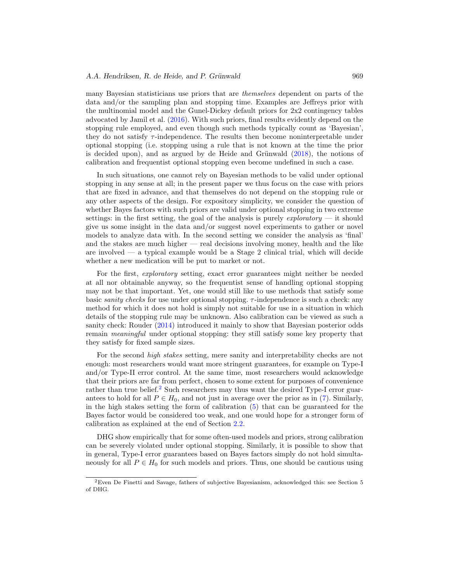#### <span id="page-8-1"></span>*A.A. Hendriksen, R. de Heide, and P. Grünwald* 969

many Bayesian statisticians use priors that are themselves dependent on parts of the data and/or the sampling plan and stopping time. Examples are Jeffreys prior with the multinomial model and the Gunel-Dickey default priors for 2x2 contingency tables advocated by Jamil et al. [\(2016\)](#page-27-8). With such priors, final results evidently depend on the stopping rule employed, and even though such methods typically count as 'Bayesian', they do not satisfy  $\tau$ -independence. The results then become noninterpretable under optional stopping (i.e. stopping using a rule that is not known at the time the prior is decided upon), and as argued by de Heide and Grünwald  $(2018)$ , the notions of calibration and frequentist optional stopping even become undefined in such a case.

In such situations, one cannot rely on Bayesian methods to be valid under optional stopping in any sense at all; in the present paper we thus focus on the case with priors that are fixed in advance, and that themselves do not depend on the stopping rule or any other aspects of the design. For expository simplicity, we consider the question of whether Bayes factors with such priors are valid under optional stopping in two extreme settings: in the first setting, the goal of the analysis is purely  $\exp{oratory}$  — it should give us some insight in the data and/or suggest novel experiments to gather or novel models to analyze data with. In the second setting we consider the analysis as 'final' and the stakes are much higher — real decisions involving money, health and the like are involved  $\sim$  a typical example would be a Stage 2 clinical trial, which will decide whether a new medication will be put to market or not.

For the first, exploratory setting, exact error guarantees might neither be needed at all nor obtainable anyway, so the frequentist sense of handling optional stopping may not be that important. Yet, one would still like to use methods that satisfy some basic sanity checks for use under optional stopping.  $\tau$ -independence is such a check: any method for which it does not hold is simply not suitable for use in a situation in which details of the stopping rule may be unknown. Also calibration can be viewed as such a sanity check: Rouder [\(2014](#page-27-3)) introduced it mainly to show that Bayesian posterior odds remain meaningful under optional stopping: they still satisfy some key property that they satisfy for fixed sample sizes.

For the second high stakes setting, mere sanity and interpretability checks are not enough: most researchers would want more stringent guarantees, for example on Type-I and/or Type-II error control. At the same time, most researchers would acknowledge that their priors are far from perfect, chosen to some extent for purposes of convenience rather than true belief.<sup>[2](#page-8-0)</sup> Such researchers may thus want the desired Type-I error guarantees to hold for all  $P \in H_0$ , and not just in average over the prior as in [\(7\)](#page-7-1). Similarly, in the high stakes setting the form of calibration  $(5)$  that can be guaranteed for the Bayes factor would be considered too weak, and one would hope for a stronger form of calibration as explained at the end of Section [2.2.](#page-5-1)

DHG show empirically that for some often-used models and priors, strong calibration can be severely violated under optional stopping. Similarly, it is possible to show that in general, Type-I error guarantees based on Bayes factors simply do not hold simultaneously for all  $P \in H_0$  for such models and priors. Thus, one should be cautious using

<span id="page-8-0"></span><sup>2</sup>Even De Finetti and Savage, fathers of subjective Bayesianism, acknowledged this: see Section 5 of DHG.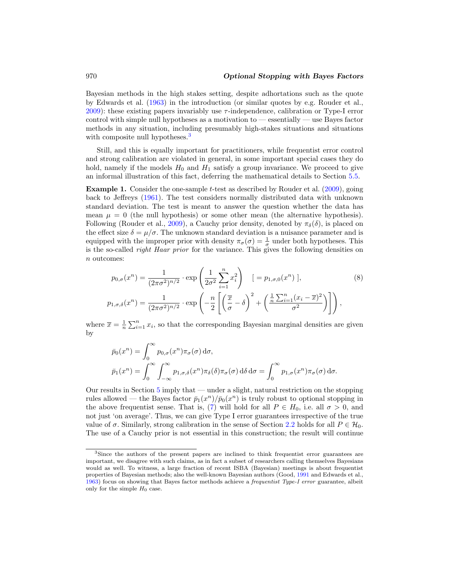<span id="page-9-3"></span>Bayesian methods in the high stakes setting, despite adhortations such as the quote by Edwards et al. [\(1963](#page-26-0)) in the introduction (or similar quotes by e.g. Rouder et al., [2009\)](#page-27-6): these existing papers invariably use  $\tau$ -independence, calibration or Type-I error control with simple null hypotheses as a motivation to — essentially — use Bayes factor methods in any situation, including presumably high-stakes situations and situations with composite null hypotheses.<sup>[3](#page-9-1)</sup>

Still, and this is equally important for practitioners, while frequentist error control and strong calibration are violated in general, in some important special cases they do hold, namely if the models  $H_0$  and  $H_1$  satisfy a group invariance. We proceed to give an informal illustration of this fact, deferring the mathematical details to Section [5.5.](#page-22-0)

<span id="page-9-0"></span>**Example 1.** Consider the one-sample *t*-test as described by Rouder et al. [\(2009\)](#page-27-6), going back to Jeffreys [\(1961\)](#page-27-9). The test considers normally distributed data with unknown standard deviation. The test is meant to answer the question whether the data has mean  $\mu = 0$  (the null hypothesis) or some other mean (the alternative hypothesis). Following (Rouder et al., [2009](#page-27-6)), a Cauchy prior density, denoted by  $\pi_{\delta}(\delta)$ , is placed on the effect size  $\delta = \mu/\sigma$ . The unknown standard deviation is a nuisance parameter and is equipped with the improper prior with density  $\pi_{\sigma}(\sigma) = \frac{1}{\sigma}$  under both hypotheses. This is the so-called right Haar prior for the variance. This gives the following densities on n outcomes:

<span id="page-9-2"></span>
$$
p_{0,\sigma}(x^n) = \frac{1}{(2\pi\sigma^2)^{n/2}} \cdot \exp\left(\frac{1}{2\sigma^2} \sum_{i=1}^n x_i^2\right) \quad [ = p_{1,\sigma,0}(x^n) ],
$$
\n
$$
p_{1,\sigma,\delta}(x^n) = \frac{1}{(2\pi\sigma^2)^{n/2}} \cdot \exp\left(-\frac{n}{2} \left[ \left(\frac{\overline{x}}{\sigma} - \delta\right)^2 + \left(\frac{\frac{1}{n} \sum_{i=1}^n (x_i - \overline{x})^2}{\sigma^2}\right)\right] \right),
$$
\n(8)

where  $\bar{x} = \frac{1}{n} \sum_{i=1}^{n} x_i$ , so that the corresponding Bayesian marginal densities are given by

$$
\bar{p}_0(x^n) = \int_0^\infty p_{0,\sigma}(x^n) \pi_\sigma(\sigma) d\sigma,
$$
\n
$$
\bar{p}_1(x^n) = \int_0^\infty \int_{-\infty}^\infty p_{1,\sigma,\delta}(x^n) \pi_\delta(\delta) \pi_\sigma(\sigma) d\delta d\sigma = \int_0^\infty p_{1,\sigma}(x^n) \pi_\sigma(\sigma) d\sigma.
$$

Our results in Section [5](#page-16-0) imply that — under a slight, natural restriction on the stopping rules allowed — the Bayes factor  $\bar{p}_1(x^n)/\bar{p}_0(x^n)$  is truly robust to optional stopping in the above frequentist sense. That is, [\(7\)](#page-7-1) will hold for all  $P \in H_0$ , i.e. all  $\sigma > 0$ , and not just 'on average'. Thus, we can give Type I error guarantees irrespective of the true value of  $\sigma$ . Similarly, strong calibration in the sense of Section [2.2](#page-5-1) holds for all  $P \in \mathcal{H}_0$ . The use of a Cauchy prior is not essential in this construction; the result will continue

<span id="page-9-1"></span><sup>&</sup>lt;sup>3</sup>Since the authors of the present papers are inclined to think frequentist error guarantees are important, we disagree with such claims, as in fact a subset of researchers calling themselves Bayesians would as well. To witness, a large fraction of recent ISBA (Bayesian) meetings is about frequentist properties of Bayesian methods; also the well-known Bayesian authors (Good, [1991](#page-26-9) and Edwards et al., [1963\)](#page-26-0) focus on showing that Bayes factor methods achieve a frequentist Type-I error guarantee, albeit only for the simple  $H_0$  case.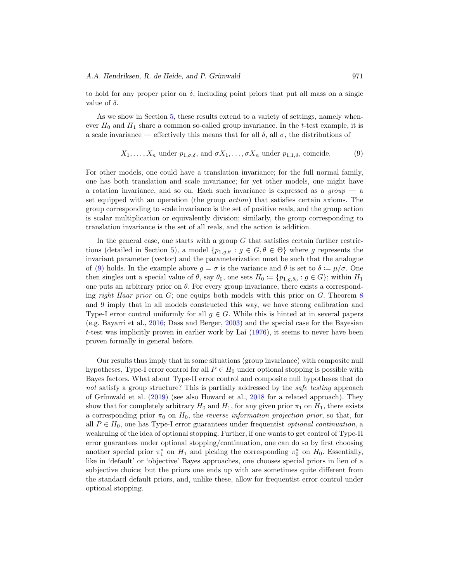<span id="page-10-1"></span>to hold for any proper prior on  $\delta$ , including point priors that put all mass on a single value of  $\delta$ .

As we show in Section [5,](#page-16-0) these results extend to a variety of settings, namely whenever  $H_0$  and  $H_1$  share a common so-called group invariance. In the t-test example, it is a scale invariance — effectively this means that for all  $\delta$ , all  $\sigma$ , the distributions of

<span id="page-10-0"></span>
$$
X_1, \ldots, X_n
$$
 under  $p_{1,\sigma,\delta}$ , and  $\sigma X_1, \ldots, \sigma X_n$  under  $p_{1,1,\delta}$ , coincide. (9)

For other models, one could have a translation invariance; for the full normal family, one has both translation and scale invariance; for yet other models, one might have a rotation invariance, and so on. Each such invariance is expressed as a  $\textit{group}$  — a set equipped with an operation (the group action) that satisfies certain axioms. The group corresponding to scale invariance is the set of positive reals, and the group action is scalar multiplication or equivalently division; similarly, the group corresponding to translation invariance is the set of all reals, and the action is addition.

In the general case, one starts with a group  $G$  that satisfies certain further restric-tions (detailed in Section [5\)](#page-16-0), a model  $\{p_{1,g,\theta} : g \in G, \theta \in \Theta\}$  where g represents the invariant parameter (vector) and the parameterization must be such that the analogue of [\(9\)](#page-10-0) holds. In the example above  $g = \sigma$  is the variance and  $\theta$  is set to  $\delta := \mu/\sigma$ . One then singles out a special value of  $\theta$ , say  $\theta_0$ , one sets  $H_0 := \{p_{1,g,\theta_0} : g \in G\}$ ; within  $H_1$ one puts an arbitrary prior on  $\theta$ . For every group invariance, there exists a corresponding right Haar prior on  $G$ ; one equips both models with this prior on  $G$ . Theorem [8](#page-22-1) and [9](#page-22-2) imply that in all models constructed this way, we have strong calibration and Type-I error control uniformly for all  $q \in G$ . While this is hinted at in several papers (e.g. Bayarri et al., [2016;](#page-25-2) Dass and Berger, [2003\)](#page-26-3) and the special case for the Bayesian t-test was implicitly proven in earlier work by Lai  $(1976)$ , it seems to never have been proven formally in general before.

Our results thus imply that in some situations (group invariance) with composite null hypotheses, Type-I error control for all  $P \in H_0$  under optional stopping is possible with Bayes factors. What about Type-II error control and composite null hypotheses that do not satisfy a group structure? This is partially addressed by the *safe testing* approach of Grünwald et al.  $(2019)$  $(2019)$  (see also Howard et al.,  $2018$  for a related approach). They show that for completely arbitrary  $H_0$  and  $H_1$ , for any given prior  $\pi_1$  on  $H_1$ , there exists a corresponding prior  $\pi_0$  on  $H_0$ , the *reverse information projection prior*, so that, for all  $P \in H_0$ , one has Type-I error guarantees under frequentist *optional continuation*, a weakening of the idea of optional stopping. Further, if one wants to get control of Type-II error guarantees under optional stopping/continuation, one can do so by first choosing another special prior  $\pi_1^*$  on  $H_1$  and picking the corresponding  $\pi_0^*$  on  $H_0$ . Essentially, like in 'default' or 'objective' Bayes approaches, one chooses special priors in lieu of a subjective choice; but the priors one ends up with are sometimes quite different from the standard default priors, and, unlike these, allow for frequentist error control under optional stopping.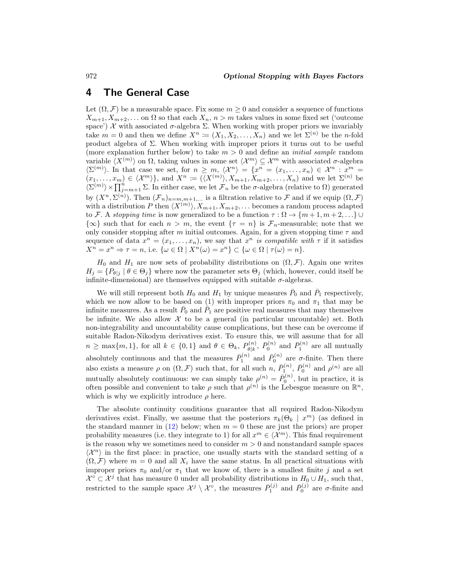# <span id="page-11-0"></span>**4 The General Case**

Let  $(\Omega, \mathcal{F})$  be a measurable space. Fix some  $m \geq 0$  and consider a sequence of functions  $X_{m+1}, X_{m+2}, \ldots$  on  $\Omega$  so that each  $X_n$ ,  $n > m$  takes values in some fixed set ('outcome space')  $\mathcal X$  with associated  $\sigma$ -algebra  $\Sigma$ . When working with proper priors we invariably take  $m = 0$  and then we define  $X^n := (X_1, X_2, \ldots, X_n)$  and we let  $\Sigma^{(n)}$  be the *n*-fold product algebra of Σ. When working with improper priors it turns out to be useful (more explanation further below) to take  $m > 0$  and define an *initial sample* random variable  $\langle X^{(m)} \rangle$  on  $\Omega$ , taking values in some set  $\langle X^{m} \rangle \subseteq \mathcal{X}^{m}$  with associated  $\sigma$ -algebra  $\langle \Sigma^{(m)} \rangle$ . In that case we set, for  $n \geq m$ ,  $\langle \mathcal{X}^n \rangle = \{x^n = (x_1, \ldots, x_n) \in \mathcal{X}^n : x^m =$  $(x_1,\ldots,x_m)\in\langle\mathcal{X}^m\rangle\},\$  and  $X^n\coloneqq(\langle X^{(m)}\rangle,X_{m+1},X_{m+2},\ldots,X_n)$  and we let  $\Sigma^{(n)}$  be  $\langle \Sigma^{(m)} \rangle \times \prod_{j=m+1}^{n} \Sigma$ . In either case, we let  $\mathcal{F}_n$  be the  $\sigma$ -algebra (relative to  $\Omega$ ) generated by  $(X^n, \Sigma^{(n)})$ . Then  $(\mathcal{F}_n)_{n=m,m+1,\dots}$  is a filtration relative to  $\mathcal F$  and if we equip  $(\Omega, \mathcal F)$ with a distribution P then  $\langle X^{(m)} \rangle$ ,  $X_{m+1}, X_{m+2}, \ldots$  becomes a random process adapted to F. A stopping time is now generalized to be a function  $\tau : \Omega \to \{m+1, m+2,...\} \cup$  $\{\infty\}$  such that for each  $n>m$ , the event  $\{\tau = n\}$  is  $\mathcal{F}_n$ -measurable; note that we only consider stopping after m initial outcomes. Again, for a given stopping time  $\tau$  and sequence of data  $x^n = (x_1, \ldots, x_n)$ , we say that  $x^n$  is compatible with  $\tau$  if it satisfies  $X^n = x^n \Rightarrow \tau = n$ , i.e.  $\{\omega \in \Omega \mid X^n(\omega) = x^n\} \subset \{\omega \in \Omega \mid \tau(\omega) = n\}.$ 

 $H_0$  and  $H_1$  are now sets of probability distributions on  $(\Omega, \mathcal{F})$ . Again one writes  $H_j = \{P_{\theta j} \mid \theta \in \Theta_j\}$  where now the parameter sets  $\Theta_j$  (which, however, could itself be infinite-dimensional) are themselves equipped with suitable  $\sigma$ -algebras.

We will still represent both  $H_0$  and  $H_1$  by unique measures  $\overline{P}_0$  and  $\overline{P}_1$  respectively, which we now allow to be based on [\(1\)](#page-3-1) with improper priors  $\pi_0$  and  $\pi_1$  that may be infinite measures. As a result  $\bar{P}_0$  and  $\bar{P}_1$  are positive real measures that may themselves be infinite. We also allow  $\mathcal X$  to be a general (in particular uncountable) set. Both non-integrability and uncountability cause complications, but these can be overcome if suitable Radon-Nikodym derivatives exist. To ensure this, we will assume that for all  $n \ge \max\{m, 1\}$ , for all  $k \in \{0, 1\}$  and  $\theta \in \Theta_k$ ,  $P_{\theta|k}^{(n)}$ ,  $\bar{P}_0^{(n)}$  and  $\bar{P}_1^{(n)}$  are all mutually absolutely continuous and that the measures  $\bar{P}_1^{(n)}$  and  $\bar{P}_0^{(n)}$  are  $\sigma$ -finite. Then there also exists a measure  $\rho$  on  $(\Omega, \mathcal{F})$  such that, for all such n,  $\bar{P}_1^{(n)}$ ,  $\bar{P}_0^{(n)}$  and  $\rho^{(n)}$  are all mutually absolutely continuous: we can simply take  $\rho^{(n)} = \bar{P}_0^{(n)}$ , but in practice, it is often possible and convenient to take  $\rho$  such that  $\rho^{(n)}$  is the Lebesgue measure on  $\mathbb{R}^n$ , which is why we explicitly introduce  $\rho$  here.

The absolute continuity conditions guarantee that all required Radon-Nikodym derivatives exist. Finally, we assume that the posteriors  $\pi_k(\Theta_k \mid x^m)$  (as defined in the standard manner in [\(12\)](#page-12-0) below; when  $m = 0$  these are just the priors) are proper probability measures (i.e. they integrate to 1) for all  $x^m \in \langle \mathcal{X}^m \rangle$ . This final requirement is the reason why we sometimes need to consider  $m > 0$  and nonstandard sample spaces  $\langle \mathcal{X}^n \rangle$  in the first place: in practice, one usually starts with the standard setting of a  $(\Omega, \mathcal{F})$  where  $m = 0$  and all  $X_i$  have the same status. In all practical situations with improper priors  $\pi_0$  and/or  $\pi_1$  that we know of, there is a smallest finite j and a set  $\mathcal{X}^{\circ} \subset \mathcal{X}^j$  that has measure 0 under all probability distributions in  $H_0 \cup H_1$ , such that, restricted to the sample space  $\mathcal{X}^j \setminus \mathcal{X}^{\circ}$ , the measures  $\bar{P}_1^{(j)}$  and  $\bar{P}_0^{(j)}$  are  $\sigma$ -finite and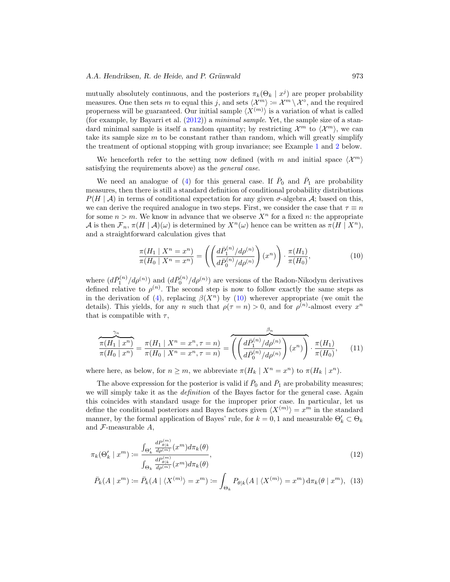#### <span id="page-12-4"></span>*A.A. Hendriksen, R. de Heide, and P. Grünwald* 973

mutually absolutely continuous, and the posteriors  $\pi_k(\Theta_k \mid x^j)$  are proper probability measures. One then sets m to equal this j, and sets  $\langle \mathcal{X}^m \rangle := \mathcal{X}^m \setminus \mathcal{X}^{\circ}$ , and the required properness will be guaranteed. Our initial sample  $\langle X^{(m)} \rangle$  is a variation of what is called (for example, by Bayarri et al.  $(2012)$ ) a minimal sample. Yet, the sample size of a standard minimal sample is itself a random quantity; by restricting  $\mathcal{X}^m$  to  $\langle \mathcal{X}^m \rangle$ , we can take its sample size  $m$  to be constant rather than random, which will greatly simplify the treatment of optional stopping with group invariance; see Example [1](#page-9-0) and [2](#page-19-0) below.

We henceforth refer to the setting now defined (with m and initial space  $\langle \mathcal{X}^m \rangle$ ) satisfying the requirements above) as the *general case*.

We need an analogue of [\(4\)](#page-4-2) for this general case. If  $\bar{P}_0$  and  $\bar{P}_1$  are probability measures, then there is still a standard definition of conditional probability distributions  $P(H | \mathcal{A})$  in terms of conditional expectation for any given  $\sigma$ -algebra  $\mathcal{A}$ ; based on this, we can derive the required analogue in two steps. First, we consider the case that  $\tau \equiv n$ for some  $n>m$ . We know in advance that we observe  $X<sup>n</sup>$  for a fixed n: the appropriate A is then  $\mathcal{F}_n$ ,  $\pi(H | \mathcal{A})(\omega)$  is determined by  $X^n(\omega)$  hence can be written as  $\pi(H | X^n)$ , and a straightforward calculation gives that

<span id="page-12-1"></span>
$$
\frac{\pi(H_1 \mid X^n = x^n)}{\pi(H_0 \mid X^n = x^n)} = \left( \left( \frac{d\bar{P}_1^{(n)}/d\rho^{(n)}}{d\bar{P}_0^{(n)}/d\rho^{(n)}} \right) (x^n) \right) \cdot \frac{\pi(H_1)}{\pi(H_0)},\tag{10}
$$

where  $(d\bar{P}_1^{(n)}/d\rho^{(n)})$  and  $(d\bar{P}_0^{(n)}/d\rho^{(n)})$  are versions of the Radon-Nikodym derivatives defined relative to  $\rho^{(n)}$ . The second step is now to follow exactly the same steps as in the derivation of [\(4\)](#page-4-2), replacing  $\beta(X^n)$  by [\(10\)](#page-12-1) wherever appropriate (we omit the details). This yields, for any n such that  $\rho(\tau = n) > 0$ , and for  $\rho^{(n)}$ -almost every  $x^n$ that is compatible with  $\tau$ ,

<span id="page-12-2"></span>
$$
\frac{\pi(H_1 \mid x^n)}{\pi(H_0 \mid x^n)} = \frac{\pi(H_1 \mid X^n = x^n, \tau = n)}{\pi(H_0 \mid X^n = x^n, \tau = n)} = \overbrace{\left( \left( \frac{d\bar{P}_1^{(n)}/d\rho^{(n)}}{d\bar{P}_0^{(n)}/d\rho^{(n)}} \right) (x^n) \right)}^{\beta_n} \cdot \frac{\pi(H_1)}{\pi(H_0)},\tag{11}
$$

where here, as below, for  $n \geq m$ , we abbreviate  $\pi(H_k | X^n = x^n)$  to  $\pi(H_k | x^n)$ .

The above expression for the posterior is valid if  $\bar{P}_0$  and  $\bar{P}_1$  are probability measures; we will simply take it as the *definition* of the Bayes factor for the general case. Again this coincides with standard usage for the improper prior case. In particular, let us define the conditional posteriors and Bayes factors given  $\langle X^{(m)} \rangle = x^m$  in the standard manner, by the formal application of Bayes' rule, for  $k = 0, 1$  and measurable  $\Theta'_k \subset \Theta_k$ and  $\mathcal{F}\text{-measurable }A,$ 

$$
\pi_k(\Theta_k' \mid x^m) := \frac{\int_{\Theta_k'} \frac{dP_{\theta|k}^{(m)}}{d\rho^{(m)}}(x^m) d\pi_k(\theta)}{\int_{\Theta_k} \frac{dP_{\theta|k}^{(m)}}{d\rho^{(m)}}(x^m) d\pi_k(\theta)},\tag{12}
$$

<span id="page-12-3"></span><span id="page-12-0"></span>
$$
\bar{P}_k(A \mid x^m) := \bar{P}_k(A \mid \langle X^{(m)} \rangle = x^m) := \int_{\Theta_k} P_{\theta|k}(A \mid \langle X^{(m)} \rangle = x^m) \, d\pi_k(\theta \mid x^m), \tag{13}
$$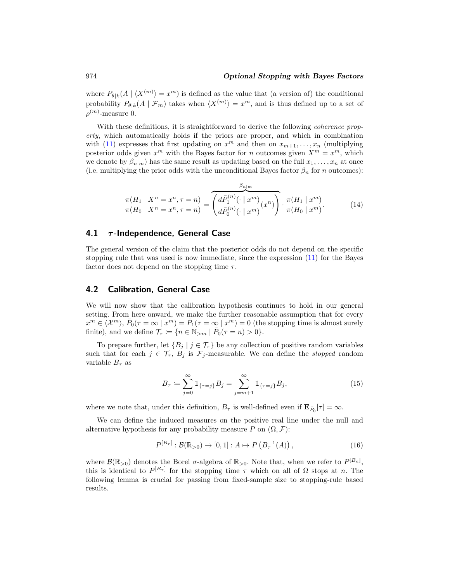where  $P_{\theta|k}(A \mid \langle X^{(m)} \rangle = x^m)$  is defined as the value that (a version of) the conditional probability  $P_{\theta|k}(A \mid \mathcal{F}_m)$  takes when  $\langle X^{(m)} \rangle = x^m$ , and is thus defined up to a set of  $\rho^{(m)}$ -measure 0.

With these definitions, it is straightforward to derive the following *coherence prop*erty, which automatically holds if the priors are proper, and which in combination with [\(11\)](#page-12-2) expresses that first updating on  $x^m$  and then on  $x_{m+1},...,x_n$  (multiplying posterior odds given  $x^m$  with the Bayes factor for n outcomes given  $X^m = x^m$ , which we denote by  $\beta_{n|m}$ ) has the same result as updating based on the full  $x_1,\ldots,x_n$  at once (i.e. multiplying the prior odds with the unconditional Bayes factor  $\beta_n$  for n outcomes):

<span id="page-13-2"></span>
$$
\frac{\pi(H_1 \mid X^n = x^n, \tau = n)}{\pi(H_0 \mid X^n = x^n, \tau = n)} = \overbrace{\left(\frac{d\bar{P}_1^{(n)}(\cdot \mid x^m)}{d\bar{P}_0^{(n)}(\cdot \mid x^m)}(x^n)\right)}^{\beta_{n \mid m}} \cdot \frac{\pi(H_1 \mid x^m)}{\pi(H_0 \mid x^m)}.
$$
\n(14)

### <span id="page-13-0"></span>**4.1** *τ* **-Independence, General Case**

The general version of the claim that the posterior odds do not depend on the specific stopping rule that was used is now immediate, since the expression [\(11\)](#page-12-2) for the Bayes factor does not depend on the stopping time  $\tau$ .

### <span id="page-13-1"></span>**4.2 Calibration, General Case**

We will now show that the calibration hypothesis continues to hold in our general setting. From here onward, we make the further reasonable assumption that for every  $x^m \in \langle \mathcal{X}^m \rangle, \bar{P}_0(\tau = \infty \mid x^m) = \bar{P}_1(\tau = \infty \mid x^m) = 0$  (the stopping time is almost surely finite), and we define  $\mathcal{T}_{\tau} := \{n \in \mathbb{N}_{\geq m} \mid \bar{P}_0(\tau = n) > 0\}.$ 

To prepare further, let  $\{B_j \mid j \in \mathcal{T}_{\tau}\}\$  be any collection of positive random variables such that for each  $j \in \mathcal{T}_{\tau}$ ,  $B_j$  is  $\mathcal{F}_j$ -measurable. We can define the *stopped* random variable  $B_{\tau}$  as

<span id="page-13-3"></span>
$$
B_{\tau} := \sum_{j=0}^{\infty} \mathbb{1}_{\{\tau=j\}} B_j = \sum_{j=m+1}^{\infty} \mathbb{1}_{\{\tau=j\}} B_j,
$$
 (15)

where we note that, under this definition,  $B_{\tau}$  is well-defined even if  $\mathbf{E}_{\bar{P}_0}[\tau] = \infty$ .

We can define the induced measures on the positive real line under the null and alternative hypothesis for any probability measure P on  $(\Omega, \mathcal{F})$ :

<span id="page-13-4"></span>
$$
P^{[B_{\tau}]} : \mathcal{B}(\mathbb{R}_{>0}) \to [0,1] : A \mapsto P\left(B_{\tau}^{-1}(A)\right),\tag{16}
$$

where  $\mathcal{B}(\mathbb{R}_{>0})$  denotes the Borel  $\sigma$ -algebra of  $\mathbb{R}_{>0}$ . Note that, when we refer to  $P^{[B_n]}$ , this is identical to  $P^{[B_{\tau}]}$  for the stopping time  $\tau$  which on all of  $\Omega$  stops at n. The following lemma is crucial for passing from fixed-sample size to stopping-rule based results.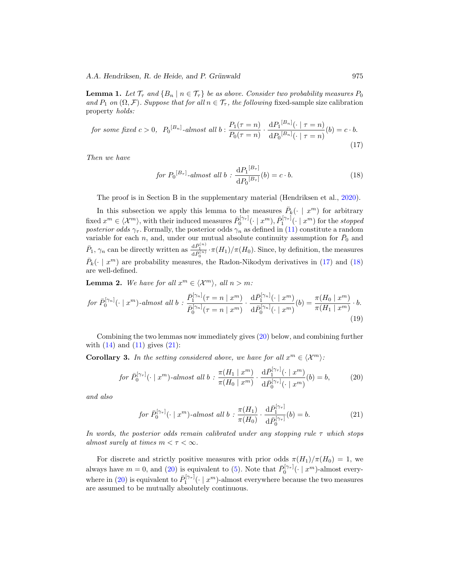<span id="page-14-6"></span>*A.A. Hendriksen, R. de Heide, and P. Grünwald* 975

<span id="page-14-5"></span>**Lemma 1.** Let  $\mathcal{T}_{\tau}$  and  $\{B_n \mid n \in \mathcal{T}_{\tau}\}\$  be as above. Consider two probability measures  $P_0$ and  $P_1$  on  $(\Omega, \mathcal{F})$ . Suppose that for all  $n \in \mathcal{T}_{\tau}$ , the following fixed-sample size calibration property holds:

for some fixed 
$$
c > 0
$$
,  $P_0^{[B_n]}\text{-almost all } b: \frac{P_1(\tau = n)}{P_0(\tau = n)} \cdot \frac{\mathrm{d}P_1^{[B_n]}(\cdot \mid \tau = n)}{\mathrm{d}P_0^{[B_n]}(\cdot \mid \tau = n)}(b) = c \cdot b.$  (17)

Then we have

<span id="page-14-1"></span><span id="page-14-0"></span>
$$
for \ P_0^{[B_{\tau}]} \text{-}almost \ all \ b : \frac{\mathrm{d}P_1^{[B_{\tau}]} }{\mathrm{d}P_0^{[B_{\tau}]}}(b) = c \cdot b. \tag{18}
$$

The proof is in Section B in the supplementary material (Hendriksen et al., [2020\)](#page-26-11).

In this subsection we apply this lemma to the measures  $\bar{P}_k(\cdot \mid x^m)$  for arbitrary fixed  $x^m \in \langle \mathcal{X}^m \rangle$ , with their induced measures  $\bar{P}_0^{[\gamma_\tau]}(\cdot | x^m), \bar{P}_1^{[\gamma_\tau]}(\cdot | x^m)$  for the stopped posterior odds  $\gamma_{\tau}$ . Formally, the posterior odds  $\gamma_n$  as defined in [\(11\)](#page-12-2) constitute a random variable for each n, and, under our mutual absolute continuity assumption for  $\bar{P}_0$  and  $\bar{P}_1$ ,  $\gamma_n$  can be directly written as  $\frac{d\bar{P}_1^{(n)}}{d\bar{P}_0^{(n)}} \cdot \pi(H_1)/\pi(H_0)$ . Since, by definition, the measures  $\bar{P}_k(\cdot \mid x^m)$  are probability measures, the Radon-Nikodym derivatives in [\(17\)](#page-14-0) and [\(18\)](#page-14-1) are well-defined.

**Lemma 2.** We have for all  $x^m \in \langle \mathcal{X}^m \rangle$ , all  $n > m$ :

$$
for \ \bar{P}_0^{[\gamma_n]}(\cdot \mid x^m)\text{-almost all } b: \frac{\bar{P}_1^{[\gamma_n]}(\tau = n \mid x^m)}{\bar{P}_0^{[\gamma_n]}(\tau = n \mid x^m)} \cdot \frac{\mathrm{d}\bar{P}_1^{[\gamma_n]}(\cdot \mid x^m)}{\mathrm{d}\bar{P}_0^{[\gamma_n]}(\cdot \mid x^m)}(b) = \frac{\pi(H_0 \mid x^m)}{\pi(H_1 \mid x^m)} \cdot b. \tag{19}
$$

Combining the two lemmas now immediately gives [\(20\)](#page-14-2) below, and combining further with  $(14)$  and  $(11)$  gives  $(21)$ :

<span id="page-14-4"></span>**Corollary 3.** In the setting considered above, we have for all  $x^m \in \langle \mathcal{X}^m \rangle$ :

$$
\text{for } \bar{P}_0^{\{\gamma_{\tau}\}}(\cdot \mid x^m) \text{-almost all } b : \frac{\pi(H_1 \mid x^m)}{\pi(H_0 \mid x^m)} \cdot \frac{\mathrm{d}\bar{P}_1^{\{\gamma_{\tau}\}}(\cdot \mid x^m)}{\mathrm{d}\bar{P}_0^{\{\gamma_{\tau}\}}(\cdot \mid x^m)}(b) = b,\tag{20}
$$

and also

<span id="page-14-3"></span><span id="page-14-2"></span>
$$
\text{for } \bar{P}_0^{\{\gamma_\tau\}}(\cdot \mid x^m) \text{-almost all } b : \frac{\pi(H_1)}{\pi(H_0)} \cdot \frac{\mathrm{d}\bar{P}_1^{\{\gamma_\tau\}}}{\mathrm{d}\bar{P}_0^{\{\gamma_\tau\}}}(b) = b. \tag{21}
$$

In words, the posterior odds remain calibrated under any stopping rule  $\tau$  which stops almost surely at times  $m < \tau < \infty$ .

For discrete and strictly positive measures with prior odds  $\pi(H_1)/\pi(H_0) = 1$ , we always have  $m = 0$ , and [\(20\)](#page-14-2) is equivalent to [\(5\)](#page-5-0). Note that  $\bar{P}_0^{[\gamma_\tau]}(\cdot \mid x^m)$ -almost every-where in [\(20\)](#page-14-2) is equivalent to  $\bar{P}_1^{[\gamma_\tau]}(\cdot \mid x^m)$ -almost everywhere because the two measures are assumed to be mutually absolutely continuous.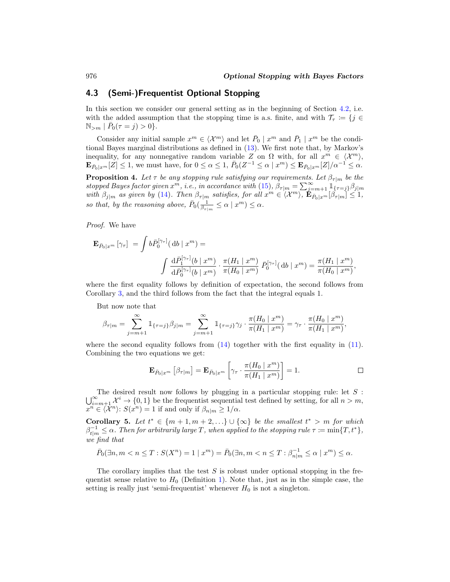,

## **4.3 (Semi-)Frequentist Optional Stopping**

In this section we consider our general setting as in the beginning of Section [4.2,](#page-13-1) i.e. with the added assumption that the stopping time is a.s. finite, and with  $\mathcal{T}_{\tau} := \{j \in$  $\mathbb{N}_{>m}$   $| \bar{P}_0(\tau = j) > 0$ .

Consider any initial sample  $x^m \in \langle \mathcal{X}^m \rangle$  and let  $\bar{P}_0 \mid x^m$  and  $\bar{P}_1 \mid x^m$  be the conditional Bayes marginal distributions as defined in [\(13\)](#page-12-3). We first note that, by Markov's inequality, for any nonnegative random variable Z on  $\Omega$  with, for all  $x^m \in \langle \mathcal{X}^m \rangle$ ,  $\mathbf{E}_{\bar{P}_0|x^m}[Z] \leq 1$ , we must have, for  $0 \leq \alpha \leq 1$ ,  $\bar{P}_0(Z^{-1} \leq \alpha | x^m) \leq \mathbf{E}_{\bar{P}_0|x^m}[Z]/\alpha^{-1} \leq \alpha$ .

<span id="page-15-2"></span>**Proposition 4.** Let  $\tau$  be any stopping rule satisfying our requirements. Let  $\beta_{\tau|m}$  be the stopped Bayes factor given  $x^m$ , i.e., in accordance with [\(15\)](#page-13-3),  $\beta_{\tau|m} = \sum_{j=m+1}^{\infty} \mathbb{1}_{\{\tau=j\}} \beta_{j|m}$ with  $\beta_{j|m}$  as given by [\(14\)](#page-13-2). Then  $\beta_{\tau|m}$  satisfies, for all  $x^m \in \langle \mathcal{X}^m \rangle$ ,  $\mathbf{E}_{\bar{P}_0|x^m}[\beta_{\tau|m}] \leq 1$ , so that, by the reasoning above,  $\bar{P}_0(\frac{1}{\beta_{\tau|m}} \leq \alpha \mid x^m) \leq \alpha$ .

Proof. We have

$$
\mathbf{E}_{\bar{P}_0|x^m} \left[ \gamma_{\tau} \right] \ = \ \int b \bar{P}_0^{\{\gamma_{\tau}\}} (\ \mathrm{d}b \mid x^m) =
$$
\n
$$
\int \frac{\mathrm{d} \bar{P}_1^{\{\gamma_{\tau}\}}(b \mid x^m)}{\mathrm{d} \bar{P}_0^{\{\gamma_{\tau}\}}(b \mid x^m)} \cdot \frac{\pi(H_1 \mid x^m)}{\pi(H_0 \mid x^m)} \ \bar{P}_0^{\{\gamma_{\tau}\}}(\mathrm{d}b \mid x^m) = \frac{\pi(H_1 \mid x^m)}{\pi(H_0 \mid x^m)}
$$

where the first equality follows by definition of expectation, the second follows from Corollary [3,](#page-14-4) and the third follows from the fact that the integral equals 1.

But now note that

$$
\beta_{\tau|m} = \sum_{j=m+1}^{\infty} \mathbb{1}_{\{\tau=j\}} \beta_{j|m} = \sum_{j=m+1}^{\infty} \mathbb{1}_{\{\tau=j\}} \gamma_j \cdot \frac{\pi(H_0 \mid x^m)}{\pi(H_1 \mid x^m)} = \gamma_{\tau} \cdot \frac{\pi(H_0 \mid x^m)}{\pi(H_1 \mid x^m)},
$$

where the second equality follows from  $(14)$  together with the first equality in  $(11)$ . Combining the two equations we get:

$$
\mathbf{E}_{\bar{P}_0|x^m} \left[ \beta_{\tau|m} \right] = \mathbf{E}_{\bar{P}_0|x^m} \left[ \gamma_\tau \cdot \frac{\pi(H_0 | x^m)}{\pi(H_1 | x^m)} \right] = 1. \qquad \qquad \Box
$$

The desired result now follows by plugging in a particular stopping rule: let  $S$ :  $\bigcup_{i=m+1}^{\infty} \mathcal{X}^i \to \{0,1\}$  be the frequentist sequential test defined by setting, for all  $n>m$ ,  $x^n \in \langle \mathcal{X}^n \rangle: S(x^n) = 1$  if and only if  $\beta_{n|m} \geq 1/\alpha$ .

<span id="page-15-1"></span>**Corollary 5.** Let  $t^* \in \{m+1, m+2, ...\} \cup \{\infty\}$  be the smallest  $t^* > m$  for which  $\beta_{t|m}^{-1} \leq \alpha$ . Then for arbitrarily large T, when applied to the stopping rule  $\tau \coloneqq \min\{T,t^*\},$ we find that

$$
\bar{P}_0(\exists n, m < n \le T : S(X^n) = 1 \mid x^m) = \bar{P}_0(\exists n, m < n \le T : \beta_{n|m}^{-1} \le \alpha \mid x^m) \le \alpha.
$$

The corollary implies that the test  $S$  is robust under optional stopping in the frequentist sense relative to  $H_0$  (Definition [1\)](#page-6-1). Note that, just as in the simple case, the setting is really just 'semi-frequentist' whenever  $H_0$  is not a singleton.

<span id="page-15-0"></span>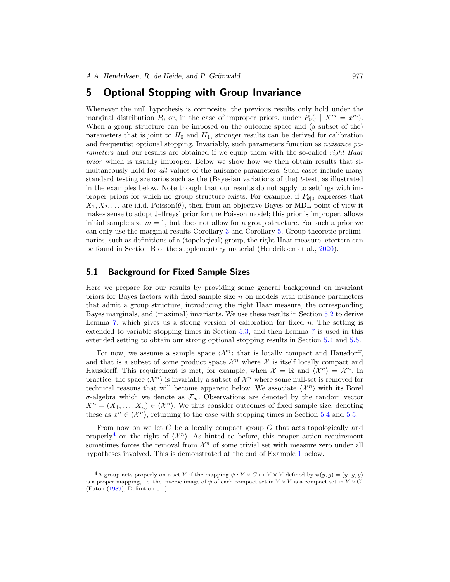# <span id="page-16-3"></span><span id="page-16-0"></span>**5 Optional Stopping with Group Invariance**

Whenever the null hypothesis is composite, the previous results only hold under the marginal distribution  $\bar{P}_0$  or, in the case of improper priors, under  $\bar{P}_0(\cdot \mid X^m = x^m)$ . When a group structure can be imposed on the outcome space and (a subset of the) parameters that is joint to  $H_0$  and  $H_1$ , stronger results can be derived for calibration and frequentist optional stopping. Invariably, such parameters function as nuisance parameters and our results are obtained if we equip them with the so-called right Haar prior which is usually improper. Below we show how we then obtain results that simultaneously hold for *all* values of the nuisance parameters. Such cases include many standard testing scenarios such as the (Bayesian variations of the)  $t$ -test, as illustrated in the examples below. Note though that our results do not apply to settings with improper priors for which no group structure exists. For example, if  $P_{\theta|0}$  expresses that  $X_1, X_2, \ldots$  are i.i.d. Poisson( $\theta$ ), then from an objective Bayes or MDL point of view it makes sense to adopt Jeffreys' prior for the Poisson model; this prior is improper, allows initial sample size  $m = 1$ , but does not allow for a group structure. For such a prior we can only use the marginal results Corollary [3](#page-14-4) and Corollary [5.](#page-15-1) Group theoretic preliminaries, such as definitions of a (topological) group, the right Haar measure, etcetera can be found in Section B of the supplementary material (Hendriksen et al., [2020](#page-26-11)).

### <span id="page-16-2"></span>**5.1 Background for Fixed Sample Sizes**

Here we prepare for our results by providing some general background on invariant priors for Bayes factors with fixed sample size n on models with nuisance parameters that admit a group structure, introducing the right Haar measure, the corresponding Bayes marginals, and (maximal) invariants. We use these results in Section [5.2](#page-19-1) to derive Lemma [7,](#page-20-0) which gives us a strong version of calibration for fixed  $n$ . The setting is extended to variable stopping times in Section [5.3,](#page-20-1) and then Lemma [7](#page-20-0) is used in this extended setting to obtain our strong optional stopping results in Section [5.4](#page-21-0) and [5.5.](#page-22-0)

For now, we assume a sample space  $\langle \mathcal{X}^n \rangle$  that is locally compact and Hausdorff, and that is a subset of some product space  $\mathcal{X}^n$  where X is itself locally compact and Hausdorff. This requirement is met, for example, when  $\mathcal{X} = \mathbb{R}$  and  $\langle \mathcal{X}^n \rangle = \mathcal{X}^n$ . In practice, the space  $\langle \mathcal{X}^n \rangle$  is invariably a subset of  $\mathcal{X}^n$  where some null-set is removed for technical reasons that will become apparent below. We associate  $\langle \mathcal{X}^n \rangle$  with its Borel  $\sigma$ -algebra which we denote as  $\mathcal{F}_n$ . Observations are denoted by the random vector  $X^n = (X_1, \ldots, X_n) \in \langle \mathcal{X}^n \rangle$ . We thus consider outcomes of fixed sample size, denoting these as  $x^n \in \langle \mathcal{X}^n \rangle$ , returning to the case with stopping times in Section [5.4](#page-21-0) and [5.5.](#page-22-0)

From now on we let  $G$  be a locally compact group  $G$  that acts topologically and properly<sup>[4](#page-16-1)</sup> on the right of  $\langle \mathcal{X}^n \rangle$ . As hinted to before, this proper action requirement sometimes forces the removal from  $\mathcal{X}^n$  of some trivial set with measure zero under all hypotheses involved. This is demonstrated at the end of Example [1](#page-9-0) below.

<span id="page-16-1"></span><sup>&</sup>lt;sup>4</sup>A group acts properly on a set Y if the mapping  $\psi: Y \times G \mapsto Y \times Y$  defined by  $\psi(y, q) = (y \cdot q, y)$ is a proper mapping, i.e. the inverse image of  $\psi$  of each compact set in  $Y \times Y$  is a compact set in  $Y \times G$ . (Eaton [\(1989](#page-26-5)), Definition 5.1).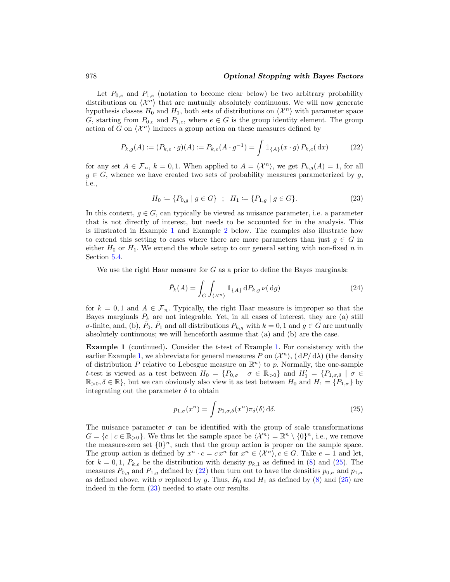### 978 *Optional Stopping with Bayes Factors*

Let  $P_{0,e}$  and  $P_{1,e}$  (notation to become clear below) be two arbitrary probability distributions on  $\langle \mathcal{X}^n \rangle$  that are mutually absolutely continuous. We will now generate hypothesis classes  $H_0$  and  $H_1$ , both sets of distributions on  $\langle \mathcal{X}^n \rangle$  with parameter space G, starting from  $P_{0,e}$  and  $P_{1,e}$ , where  $e \in G$  is the group identity element. The group action of G on  $\langle \mathcal{X}^n \rangle$  induces a group action on these measures defined by

$$
P_{k,g}(A) := (P_{k,e} \cdot g)(A) := P_{k,e}(A \cdot g^{-1}) = \int \mathbb{1}_{\{A\}}(x \cdot g) P_{k,e}(\, \mathrm{d}x) \tag{22}
$$

for any set  $A \in \mathcal{F}_n$ ,  $k = 0, 1$ . When applied to  $A = \langle \mathcal{X}^n \rangle$ , we get  $P_{k,g}(A) = 1$ , for all  $g \in G$ , whence we have created two sets of probability measures parameterized by g, i.e.,

<span id="page-17-2"></span><span id="page-17-1"></span>
$$
H_0 := \{ P_{0,g} \mid g \in G \} \; ; \; H_1 := \{ P_{1,g} \mid g \in G \}. \tag{23}
$$

In this context,  $g \in G$ , can typically be viewed as nuisance parameter, i.e. a parameter that is not directly of interest, but needs to be accounted for in the analysis. This is illustrated in Example [1](#page-9-0) and Example [2](#page-19-0) below. The examples also illustrate how to extend this setting to cases where there are more parameters than just  $g \in G$  in either  $H_0$  or  $H_1$ . We extend the whole setup to our general setting with non-fixed n in Section [5.4.](#page-21-0)

We use the right Haar measure for  $G$  as a prior to define the Bayes marginals:

$$
\bar{P}_k(A) = \int_G \int_{\langle X^n \rangle} \mathbb{1}_{\{A\}} \, dP_{k,g} \, \nu(\,\mathrm{d}g) \tag{24}
$$

for  $k = 0, 1$  and  $A \in \mathcal{F}_n$ . Typically, the right Haar measure is improper so that the Bayes marginals  $\bar{P}_k$  are not integrable. Yet, in all cases of interest, they are (a) still σ-finite, and, (b),  $P_0$ ,  $P_1$  and all distributions  $P_{k,g}$  with  $k = 0, 1$  and  $g \in G$  are mutually absolutely continuous; we will henceforth assume that (a) and (b) are the case.

**Example 1** (continued). Consider the t-test of Example [1.](#page-9-0) For consistency with the earlier Example [1,](#page-9-0) we abbreviate for general measures P on  $\langle \mathcal{X}^n \rangle$ ,  $(dP/d\lambda)$  (the density of distribution P relative to Lebesgue measure on  $\mathbb{R}^n$  to p. Normally, the one-sample t-test is viewed as a test between  $H_0 = \{P_{0,\sigma} \mid \sigma \in \mathbb{R}_{>0}\}\$  and  $H'_1 = \{P_{1,\sigma,\delta} \mid \sigma \in \mathbb{R}\}$  $\mathbb{R}_{>0}, \delta \in \mathbb{R}$ , but we can obviously also view it as test between  $H_0$  and  $H_1 = \{P_{1,\sigma}\}\$  by integrating out the parameter  $\delta$  to obtain

<span id="page-17-0"></span>
$$
p_{1,\sigma}(x^n) = \int p_{1,\sigma,\delta}(x^n) \pi_{\delta}(\delta) \, d\delta. \tag{25}
$$

The nuisance parameter  $\sigma$  can be identified with the group of scale transformations  $G = \{c \mid c \in \mathbb{R}_{>0}\}.$  We thus let the sample space be  $\langle \mathcal{X}^n \rangle = \mathbb{R}^n \setminus \{0\}^n$ , i.e., we remove the measure-zero set  $\{0\}^n$ , such that the group action is proper on the sample space. The group action is defined by  $x^n \cdot c = c x^n$  for  $x^n \in \langle \mathcal{X}^n \rangle, c \in G$ . Take  $e = 1$  and let, for  $k = 0, 1, P_{k,e}$  be the distribution with density  $p_{k,1}$  as defined in [\(8\)](#page-9-2) and [\(25\)](#page-17-0). The measures  $P_{0,q}$  and  $P_{1,q}$  defined by [\(22\)](#page-17-1) then turn out to have the densities  $p_{0,\sigma}$  and  $p_{1,\sigma}$ as defined above, with  $\sigma$  replaced by g. Thus,  $H_0$  and  $H_1$  as defined by [\(8\)](#page-9-2) and [\(25\)](#page-17-0) are indeed in the form [\(23\)](#page-17-2) needed to state our results.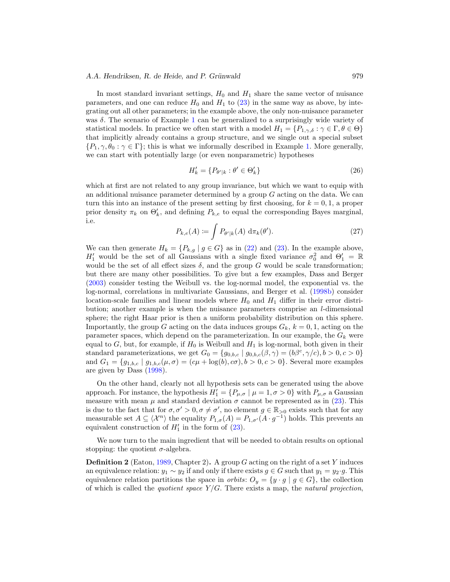### <span id="page-18-2"></span>*A.A. Hendriksen, R. de Heide, and P. Grünwald* 979

In most standard invariant settings,  $H_0$  and  $H_1$  share the same vector of nuisance parameters, and one can reduce  $H_0$  and  $H_1$  to [\(23\)](#page-17-2) in the same way as above, by integrating out all other parameters; in the example above, the only non-nuisance parameter was δ. The scenario of Example [1](#page-9-0) can be generalized to a surprisingly wide variety of statistical models. In practice we often start with a model  $H_1 = \{P_{1,\gamma,\delta} : \gamma \in \Gamma, \theta \in \Theta\}$ that implicitly already contains a group structure, and we single out a special subset  $\{P_1, \gamma, \theta_0 : \gamma \in \Gamma\}$ ; this is what we informally described in Example [1.](#page-9-0) More generally, we can start with potentially large (or even nonparametric) hypotheses

<span id="page-18-0"></span>
$$
H'_{k} = \{P_{\theta'|k} : \theta' \in \Theta'_{k}\}\tag{26}
$$

which at first are not related to any group invariance, but which we want to equip with an additional nuisance parameter determined by a group  $G$  acting on the data. We can turn this into an instance of the present setting by first choosing, for  $k = 0, 1$ , a proper prior density  $\pi_k$  on  $\Theta'_k$ , and defining  $P_{k,e}$  to equal the corresponding Bayes marginal, i.e.

<span id="page-18-1"></span>
$$
P_{k,e}(A) \coloneqq \int P_{\theta'|k}(A) \, \mathrm{d}\pi_k(\theta'). \tag{27}
$$

We can then generate  $H_k = \{P_{k,g} | g \in G\}$  as in [\(22\)](#page-17-1) and [\(23\)](#page-17-2). In the example above,  $H'_1$  would be the set of all Gaussians with a single fixed variance  $\sigma_0^2$  and  $\Theta'_1 = \mathbb{R}$ would be the set of all effect sizes  $\delta$ , and the group G would be scale transformation; but there are many other possibilities. To give but a few examples, Dass and Berger [\(2003\)](#page-26-3) consider testing the Weibull vs. the log-normal model, the exponential vs. the log-normal, correlations in multivariate Gaussians, and Berger et al. [\(1998b](#page-25-7)) consider location-scale families and linear models where  $H_0$  and  $H_1$  differ in their error distribution; another example is when the nuisance parameters comprise an l-dimensional sphere; the right Haar prior is then a uniform probability distribution on this sphere. Importantly, the group G acting on the data induces groups  $G_k$ ,  $k = 0, 1$ , acting on the parameter spaces, which depend on the parameterization. In our example, the  $G_k$  were equal to  $G$ , but, for example, if  $H_0$  is Weibull and  $H_1$  is log-normal, both given in their standard parameterizations, we get  $G_0 = \{g_{0,b,c} | g_{0,b,c}(\beta, \gamma) = (b\beta^c, \gamma/c), b > 0, c > 0\}$ and  $G_1 = \{g_{1,b,c} | g_{1,b,c}(\mu, \sigma) = (c\mu + \log(b), c\sigma), b > 0, c > 0\}$ . Several more examples are given by Dass [\(1998\)](#page-26-12).

On the other hand, clearly not all hypothesis sets can be generated using the above approach. For instance, the hypothesis  $H_1' = \{P_{\mu,\sigma} | \mu = 1, \sigma > 0\}$  with  $P_{\mu,\sigma}$  a Gaussian measure with mean  $\mu$  and standard deviation  $\sigma$  cannot be represented as in [\(23\)](#page-17-2). This is due to the fact that for  $\sigma, \sigma' > 0, \sigma \neq \sigma'$ , no element  $g \in \mathbb{R}_{>0}$  exists such that for any measurable set  $A \subseteq \langle \mathcal{X}^n \rangle$  the equality  $P_{1,\sigma}(A) = P_{1,\sigma'}(A \cdot g^{-1})$  holds. This prevents an equivalent construction of  $H'_1$  in the form of  $(23)$ .

We now turn to the main ingredient that will be needed to obtain results on optional stopping: the quotient  $\sigma$ -algebra.

**Definition 2** (Eaton, [1989,](#page-26-5) Chapter 2). A group G acting on the right of a set Y induces an equivalence relation:  $y_1 \sim y_2$  if and only if there exists  $g \in G$  such that  $y_1 = y_2 \cdot g$ . This equivalence relation partitions the space in *orbits:*  $O_y = \{y \cdot g \mid g \in G\}$ , the collection of which is called the *quotient space*  $Y/G$ . There exists a map, the *natural projection*,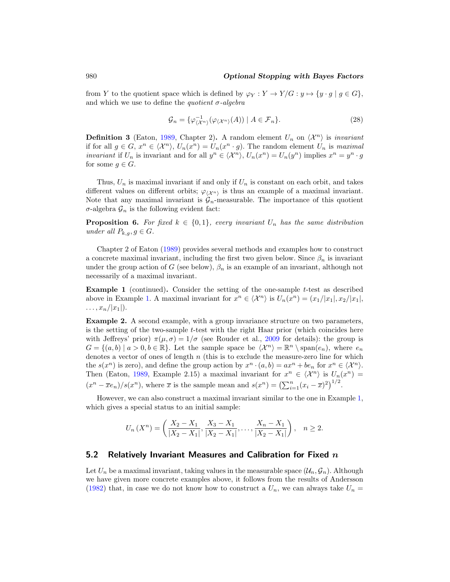#### <span id="page-19-2"></span>980 *Optional Stopping with Bayes Factors*

from Y to the quotient space which is defined by  $\varphi_Y : Y \to Y/G : y \mapsto \{y \cdot g \mid g \in G\},$ and which we use to define the *quotient*  $\sigma$ -algebra

$$
\mathcal{G}_n = \{ \varphi_{\langle \mathcal{X}^n \rangle}^{-1} (\varphi_{\langle \mathcal{X}^n \rangle}(A)) \mid A \in \mathcal{F}_n \}. \tag{28}
$$

**Definition 3** (Eaton, [1989](#page-26-5), Chapter 2). A random element  $U_n$  on  $\langle \mathcal{X}^n \rangle$  is *invariant* if for all  $g \in G$ ,  $x^n \in \langle \mathcal{X}^n \rangle$ ,  $U_n(x^n) = U_n(x^n \cdot g)$ . The random element  $U_n$  is maximal *invariant* if  $U_n$  is invariant and for all  $y^n \in \langle \mathcal{X}^n \rangle$ ,  $U_n(x^n) = U_n(y^n)$  implies  $x^n = y^n \cdot g$ for some  $g \in G$ .

Thus,  $U_n$  is maximal invariant if and only if  $U_n$  is constant on each orbit, and takes different values on different orbits;  $\varphi_{\langle \chi^n \rangle}$  is thus an example of a maximal invariant. Note that any maximal invariant is  $\mathcal{G}_n$ -measurable. The importance of this quotient  $\sigma$ -algebra  $\mathcal{G}_n$  is the following evident fact:

**Proposition 6.** For fixed  $k \in \{0,1\}$ , every invariant  $U_n$  has the same distribution under all  $P_{k,q}, g \in G$ .

Chapter 2 of Eaton [\(1989](#page-26-5)) provides several methods and examples how to construct a concrete maximal invariant, including the first two given below. Since  $\beta_n$  is invariant under the group action of G (see below),  $\beta_n$  is an example of an invariant, although not necessarily of a maximal invariant.

**Example 1** (continued). Consider the setting of the one-sample t-test as described above in Example [1.](#page-9-0) A maximal invariant for  $x^n \in \langle \mathcal{X}^n \rangle$  is  $U_n(x^n)=(x_1/|x_1|, x_2/|x_1|, x_2/|x_2|)$  $\ldots$ ,  $x_n/|x_1|$ ).

<span id="page-19-0"></span>**Example 2.** A second example, with a group invariance structure on two parameters, is the setting of the two-sample t-test with the right Haar prior (which coincides here with Jeffreys' prior)  $\pi(\mu, \sigma) = 1/\sigma$  (see Rouder et al., [2009](#page-27-6) for details): the group is  $G = \{(a, b) \mid a > 0, b \in \mathbb{R}\}.$  Let the sample space be  $\langle \mathcal{X}^n \rangle = \mathbb{R}^n \setminus \text{span}(e_n)$ , where  $e_n$ denotes a vector of ones of length  $n$  (this is to exclude the measure-zero line for which the  $s(x^n)$  is zero), and define the group action by  $x^n \cdot (a, b) = ax^n + be_n$  for  $x^n \in \langle \mathcal{X}^n \rangle$ . Then (Eaton, [1989](#page-26-5), Example 2.15) a maximal invariant for  $x^n \in \langle \mathcal{X}^n \rangle$  is  $U_n(x^n) =$  $(x^{n} - \overline{x}e_{n})/s(x^{n})$ , where  $\overline{x}$  is the sample mean and  $s(x^{n}) = (\sum_{i=1}^{n} (x_{i} - \overline{x})^{2})^{1/2}$ .

However, we can also construct a maximal invariant similar to the one in Example [1,](#page-9-0) which gives a special status to an initial sample:

$$
U_n(X^n) = \left(\frac{X_2 - X_1}{|X_2 - X_1|}, \frac{X_3 - X_1}{|X_2 - X_1|}, \dots, \frac{X_n - X_1}{|X_2 - X_1|}\right), \quad n \ge 2.
$$

#### <span id="page-19-1"></span>**5.2 Relatively Invariant Measures and Calibration for Fixed** *n*

Let  $U_n$  be a maximal invariant, taking values in the measurable space  $(\mathcal{U}_n, \mathcal{G}_n)$ . Although we have given more concrete examples above, it follows from the results of Andersson [\(1982\)](#page-25-3) that, in case we do not know how to construct a  $U_n$ , we can always take  $U_n =$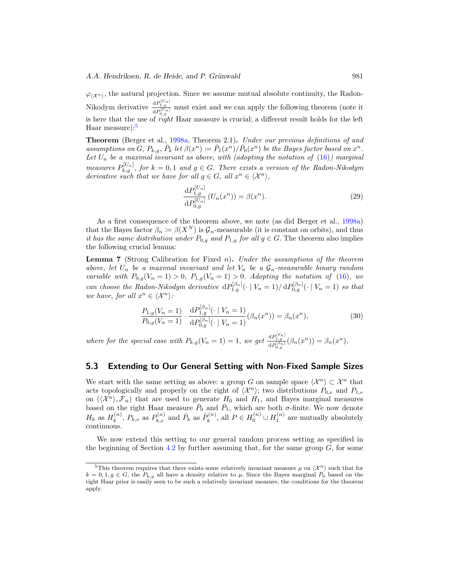<span id="page-20-3"></span> $\varphi_{(\chi_n)}$ , the natural projection. Since we assume mutual absolute continuity, the Radon-Nikodym derivative  $\frac{dP_{1,g}^{[U_n]}}{dP_{0,g}^{[U_n]}}$  must exist and we can apply the following theorem (note it is here that the use of right Haar measure is crucial; a different result holds for the left Haar measure):<sup>[5](#page-20-2)</sup>

**Theorem** (Berger et al., [1998a,](#page-25-0) Theorem 2.1)**.** Under our previous definitions of and assumptions on G,  $P_{k,q}$ ,  $\bar{P}_k$  let  $\beta(x^n) \coloneqq \bar{P}_1(x^n)/\bar{P}_0(x^n)$  be the Bayes factor based on  $x^n$ . Let  $U_n$  be a maximal invariant as above, with (adopting the notation of  $(16)$ ) marginal measures  $P_{k,g}^{[U_n]}$ , for  $k=0,1$  and  $g \in G$ . There exists a version of the Radon-Nikodym derivative such that we have for all  $g \in G$ , all  $x^n \in \langle X^n \rangle$ ,

$$
\frac{\mathrm{d}P_{1,g}^{[U_n]}}{\mathrm{d}P_{0,g}^{[U_n]}}\left(U_n(x^n)\right) = \beta(x^n). \tag{29}
$$

As a first consequence of the theorem above, we note (as did Berger et al., [1998a\)](#page-25-0) that the Bayes factor  $\beta_n := \beta(X^N)$  is  $\mathcal{G}_n$ -measurable (it is constant on orbits), and thus it has the same distribution under  $P_{0,q}$  and  $P_{1,q}$  for all  $g \in G$ . The theorem also implies the following crucial lemma:

<span id="page-20-0"></span>**Lemma 7** (Strong Calibration for Fixed n)**.** Under the assumptions of the theorem above, let  $U_n$  be a maximal invariant and let  $V_n$  be a  $G_n$ -measurable binary random variable with  $P_{0,g}(V_n = 1) > 0$ ,  $P_{1,g}(V_n = 1) > 0$ . Adopting the notation of [\(16\)](#page-13-4), we can choose the Radon-Nikodym derivative  $dP_{1,g}^{[\beta_n]}(\cdot | V_n=1)/dP_{0,g}^{[\beta_n]}(\cdot | V_n=1)$  so that we have, for all  $x^n \in \langle \mathcal{X}^n \rangle$ :

$$
\frac{P_{1,g}(V_n=1)}{P_{0,g}(V_n=1)} \cdot \frac{\mathrm{d}P_{1,g}^{[\beta_n]}(\cdot \mid V_n=1)}{\mathrm{d}P_{0,g}^{[\beta_n]}(\cdot \mid V_n=1)} (\beta_n(x^n)) = \beta_n(x^n),\tag{30}
$$

where for the special case with  $P_{k,g}(V_n = 1) = 1$ , we get  $\frac{dP_{1,g}^{[\beta_n]}}{dP_{0,g}^{[\beta_n]}}(\beta_n(x^n)) = \beta_n(x^n)$ .

### <span id="page-20-1"></span>**5.3 Extending to Our General Setting with Non-Fixed Sample Sizes**

We start with the same setting as above: a group G on sample space  $\langle \mathcal{X}^n \rangle \subset \mathcal{X}^n$  that acts topologically and properly on the right of  $\langle \mathcal{X}^n \rangle$ ; two distributions  $P_{0,e}$  and  $P_{1,e}$ on  $(\langle \mathcal{X}^n \rangle, \mathcal{F}_n)$  that are used to generate  $H_0$  and  $H_1$ , and Bayes marginal measures based on the right Haar measure  $\bar{P}_0$  and  $\bar{P}_1$ , which are both  $\sigma$ -finite. We now denote  $H_k$  as  $H_k^{(n)}$ ,  $P_{k,e}$  as  $P_{k,e}^{(n)}$  and  $\bar{P}_k$  as  $\bar{P}_k^{(n)}$ , all  $P \in H_0^{(n)} \cup H_1^{(n)}$  are mutually absolutely continuous.

We now extend this setting to our general random process setting as specified in the beginning of Section [4.2](#page-13-1) by further assuming that, for the same group  $G$ , for some

<span id="page-20-2"></span><sup>&</sup>lt;sup>5</sup>This theorem requires that there exists some relatively invariant measure  $\mu$  on  $\langle \mathcal{X}^n \rangle$  such that for  $k = 0, 1, g \in G$ , the  $P_{k,q}$  all have a density relative to  $\mu$ . Since the Bayes marginal  $\bar{P}_0$  based on the right Haar prior is easily seen to be such a relatively invariant measure, the conditions for the theorem apply.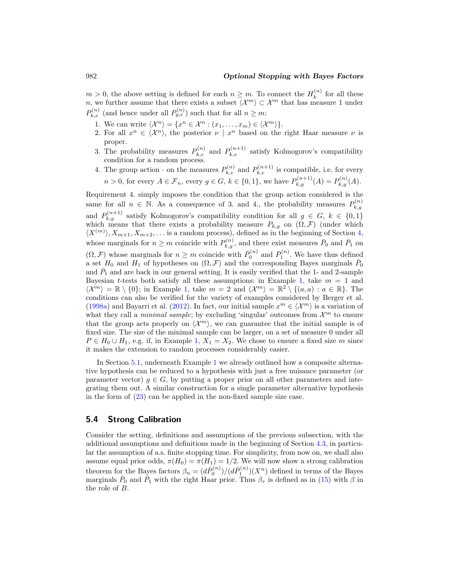<span id="page-21-1"></span> $m > 0$ , the above setting is defined for each  $n \geq m$ . To connect the  $H_k^{(n)}$  for all these n, we further assume that there exists a subset  $\langle \mathcal{X}^m \rangle \subset \mathcal{X}^m$  that has measure 1 under  $P_{k,e}^{(n)}$  (and hence under all  $P_{g,e}^{(n)}$ ) such that for all  $n \geq m$ :

- 1. We can write  $\langle \mathcal{X}^n \rangle = \{x^n \in \mathcal{X}^n : (x_1, \dots, x_m) \in \langle \mathcal{X}^m \rangle \}.$
- 2. For all  $x^n \in \langle \mathcal{X}^n \rangle$ , the posterior  $\nu \mid x^n$  based on the right Haar measure  $\nu$  is proper.
- 3. The probability measures  $P_{k,e}^{(n)}$  and  $P_{k,e}^{(n+1)}$  satisfy Kolmogorov's compatibility condition for a random process.
- 4. The group action  $\cdot$  on the measures  $P_{k,e}^{(n)}$  and  $P_{k,e}^{(n+1)}$  is compatible, i.e. for every  $n > 0$ , for every  $A \in \mathcal{F}_n$ , every  $g \in G$ ,  $k \in \{0,1\}$ , we have  $P_{k,g}^{(n+1)}(A) = P_{k,g}^{(n)}(A)$ .

Requirement 4. simply imposes the condition that the group action considered is the same for all  $n \in \mathbb{N}$ . As a consequence of 3. and 4., the probability measures  $P_{k,g}^{(n)}$ and  $P_{k,g}^{(n+1)}$  satisfy Kolmogorov's compatibility condition for all  $g \in G, k \in \{0,1\}$ which means that there exists a probability measure  $P_{k,g}$  on  $(\tilde{\Omega}, \mathcal{F})$  (under which  $\langle X^{(m)} \rangle, X_{m+1}, X_{m+2}, \ldots$  is a random process), defined as in the beginning of Section [4,](#page-11-0) whose marginals for  $n \geq m$  coincide with  $P_{k,g}^{(n)}$ , and there exist measures  $\bar{P}_0$  and  $\bar{P}_1$  on  $(\Omega, \mathcal{F})$  whose marginals for  $n \geq m$  coincide with  $\bar{P}_0^{(n)}$  and  $\bar{P}_1^{(n)}$ . We have thus defined a set  $H_0$  and  $H_1$  of hypotheses on  $(\Omega, \mathcal{F})$  and the corresponding Bayes marginals  $\bar{P}_0$ and  $\bar{P}_1$  and are back in our general setting. It is easily verified that the 1- and 2-sample Bayesian t-tests both satisfy all these assumptions: in Example [1,](#page-9-0) take  $m = 1$  and  $\langle \mathcal{X}^m \rangle = \mathbb{R} \setminus \{0\};$  in Example [1,](#page-9-0) take  $m = 2$  and  $\langle \mathcal{X}^m \rangle = \mathbb{R}^2 \setminus \{(a, a) : a \in \mathbb{R}\}.$  The conditions can also be verified for the variety of examples considered by Berger et al. [\(1998a\)](#page-25-0) and Bayarri et al. [\(2012](#page-25-1)). In fact, our initial sample  $x^m \in \langle \mathcal{X}^m \rangle$  is a variation of what they call a *minimal sample*; by excluding 'singular' outcomes from  $\mathcal{X}^m$  to ensure that the group acts properly on  $\langle \mathcal{X}^m \rangle$ , we can guarantee that the initial sample is of fixed size. The size of the minimal sample can be larger, on a set of measure 0 under all  $P \in H_0 \cup H_1$ , e.g. if, in Example [1,](#page-9-0)  $X_1 = X_2$ . We chose to ensure a fixed size m since it makes the extension to random processes considerably easier.

In Section [5.1,](#page-16-2) underneath Example [1](#page-9-0) we already outlined how a composite alternative hypothesis can be reduced to a hypothesis with just a free nuisance parameter (or parameter vector)  $g \in G$ , by putting a proper prior on all other parameters and integrating them out. A similar construction for a single parameter alternative hypothesis in the form of  $(23)$  can be applied in the non-fixed sample size case.

### <span id="page-21-0"></span>**5.4 Strong Calibration**

Consider the setting, definitions and assumptions of the previous subsection, with the additional assumptions and definitions made in the beginning of Section [4.3,](#page-15-0) in particular the assumption of a.s. finite stopping time. For simplicity, from now on, we shall also assume equal prior odds,  $\pi(H_0) = \pi(H_1) = 1/2$ . We will now show a strong calibration theorem for the Bayes factors  $\beta_n = (d\bar{P}_0^{(n)})/(d\bar{P}_1^{(n)})(X^n)$  defined in terms of the Bayes marginals  $\bar{P}_0$  and  $\bar{P}_1$  with the right Haar prior. Thus  $\beta_{\tau}$  is defined as in [\(15\)](#page-13-3) with  $\beta$  in the role of B.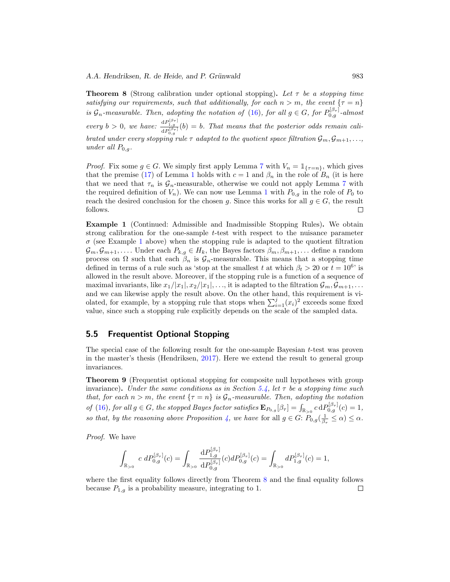<span id="page-22-3"></span><span id="page-22-1"></span>**Theorem 8** (Strong calibration under optional stopping). Let  $\tau$  be a stopping time satisfying our requirements, such that additionally, for each  $n>m$ , the event  $\{\tau=n\}$ is  $\mathcal{G}_n$ -measurable. Then, adopting the notation of [\(16\)](#page-13-4), for all  $g \in G$ , for  $P_{0,g}^{[\beta_{\tau}]}$ -almost every  $b > 0$ , we have:  $\frac{dP_{1,g}^{[\beta_{\tau}]}(b)}{dP_{0,g}^{[\beta_{\tau}]}(b)} = b$ . That means that the posterior odds remain calibrated under every stopping rule  $\tau$  adapted to the quotient space filtration  $\mathcal{G}_m, \mathcal{G}_{m+1}, \ldots$ , under all  $P_{0,q}$ .

*Proof.* Fix some  $g \in G$ . We simply first apply Lemma [7](#page-20-0) with  $V_n = \mathbb{1}_{\{\tau = n\}}$ , which gives that the premise [\(17\)](#page-14-0) of Lemma [1](#page-14-5) holds with  $c = 1$  and  $\beta_n$  in the role of  $B_n$  (it is here that we need that  $\tau_n$  is  $\mathcal{G}_n$ -measurable, otherwise we could not apply Lemma [7](#page-20-0) with the required definition of  $V_n$ ). We can now use Lemma [1](#page-14-5) with  $P_{0,q}$  in the role of  $P_0$  to reach the desired conclusion for the chosen g. Since this works for all  $g \in G$ , the result follows.  $\Box$ 

**Example 1** (Continued: Admissible and Inadmissible Stopping Rules)**.** We obtain strong calibration for the one-sample t-test with respect to the nuisance parameter  $\sigma$  (see Example [1](#page-9-0) above) when the stopping rule is adapted to the quotient filtration  $\mathcal{G}_m, \mathcal{G}_{m+1},\ldots$  Under each  $P_{k,q} \in H_k$ , the Bayes factors  $\beta_m, \beta_{m+1},\ldots$  define a random process on  $\Omega$  such that each  $\beta_n$  is  $\mathcal{G}_n$ -measurable. This means that a stopping time defined in terms of a rule such as 'stop at the smallest t at which  $\beta_t > 20$  or  $t = 10^6$ ' is allowed in the result above. Moreover, if the stopping rule is a function of a sequence of maximal invariants, like  $x_1/|x_1|, x_2/|x_1|, \ldots$ , it is adapted to the filtration  $\mathcal{G}_m, \mathcal{G}_{m+1}, \ldots$ and we can likewise apply the result above. On the other hand, this requirement is violated, for example, by a stopping rule that stops when  $\sum_{i=1}^{j}(x_i)^2$  exceeds some fixed value, since such a stopping rule explicitly depends on the scale of the sampled data.

### <span id="page-22-0"></span>**5.5 Frequentist Optional Stopping**

The special case of the following result for the one-sample Bayesian t-test was proven in the master's thesis (Hendriksen, [2017\)](#page-26-13). Here we extend the result to general group invariances.

<span id="page-22-2"></span>**Theorem 9** (Frequentist optional stopping for composite null hypotheses with group invariance). Under the same conditions as in Section [5.4,](#page-21-0) let  $\tau$  be a stopping time such that, for each  $n>m$ , the event  ${\tau = n}$  is  $\mathcal{G}_n$ -measurable. Then, adopting the notation of [\(16\)](#page-13-4), for all  $g \in G$ , the stopped Bayes factor satisfies  $\mathbf{E}_{P_{0,g}}[\beta_{\tau}] = \int_{\mathbb{R}_{>0}} c dP_{0,g}^{[\beta_{\tau}]}(c) = 1$ , so that, by the reasoning above Proposition [4,](#page-15-2) we have for all  $g \in G: P_{0,g}(\frac{1}{\beta_{\tau}} \leq \alpha) \leq \alpha$ .

Proof. We have

$$
\int_{\mathbb{R}_{>0}} c \ dP_{0,g}^{[\beta_{\tau}]}(c) = \int_{\mathbb{R}_{>0}} \frac{\mathrm{d}P_{1,g}^{[\beta_{\tau}]} }{\mathrm{d}P_{0,g}^{[\beta_{\tau}]}}(c) dP_{0,g}^{[\beta_{\tau}]}(c) = \int_{\mathbb{R}_{>0}} dP_{1,g}^{[\beta_{\tau}]}(c) = 1,
$$

where the first equality follows directly from Theorem [8](#page-22-1) and the final equality follows because  $P_{1,g}$  is a probability measure, integrating to 1.  $\Box$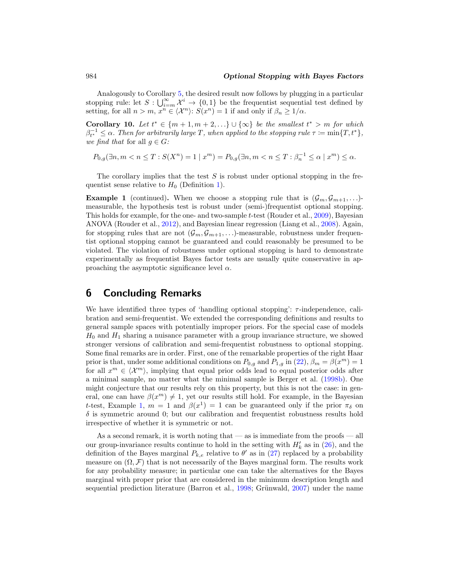Analogously to Corollary [5,](#page-15-1) the desired result now follows by plugging in a particular stopping rule: let  $S: \bigcup_{i=m}^{\infty} \mathcal{X}^i \to \{0,1\}$  be the frequentist sequential test defined by setting, for all  $n > m$ ,  $x^n \in \langle \mathcal{X}^n \rangle$ :  $S(x^n) = 1$  if and only if  $\beta_n \geq 1/\alpha$ .

**Corollary 10.** Let  $t^* \in \{m+1, m+2, ...\} \cup \{\infty\}$  be the smallest  $t^* > m$  for which  $\beta_{t^*}^{-1} \leq \alpha$ . Then for arbitrarily large T, when applied to the stopping rule  $\tau \coloneqq \min\{T,t^*\},$ we find that for all  $q \in G$ :

$$
P_{0,g}(\exists n, m < n \le T : S(X^n) = 1 \mid x^m) = P_{0,g}(\exists n, m < n \le T : \beta_n^{-1} \le \alpha \mid x^m) \le \alpha.
$$

The corollary implies that the test  $S$  is robust under optional stopping in the frequentist sense relative to  $H_0$  (Definition [1\)](#page-6-1).

**Example 1** (continued). When we choose a stopping rule that is  $(\mathcal{G}_m, \mathcal{G}_{m+1}, \ldots)$ measurable, the hypothesis test is robust under (semi-)frequentist optional stopping. This holds for example, for the one- and two-sample  $t$ -test (Rouder et al., [2009](#page-27-6)), Bayesian ANOVA (Rouder et al., [2012\)](#page-27-7), and Bayesian linear regression (Liang et al., [2008\)](#page-27-14). Again, for stopping rules that are not  $(\mathcal{G}_m, \mathcal{G}_{m+1}, \ldots)$ -measurable, robustness under frequentist optional stopping cannot be guaranteed and could reasonably be presumed to be violated. The violation of robustness under optional stopping is hard to demonstrate experimentally as frequentist Bayes factor tests are usually quite conservative in approaching the asymptotic significance level  $\alpha$ .

# <span id="page-23-0"></span>**6 Concluding Remarks**

We have identified three types of 'handling optional stopping':  $\tau$ -independence, calibration and semi-frequentist. We extended the corresponding definitions and results to general sample spaces with potentially improper priors. For the special case of models  $H_0$  and  $H_1$  sharing a nuisance parameter with a group invariance structure, we showed stronger versions of calibration and semi-frequentist robustness to optional stopping. Some final remarks are in order. First, one of the remarkable properties of the right Haar prior is that, under some additional conditions on  $P_{0,g}$  and  $P_{1,g}$  in  $(22)$ ,  $\beta_m = \beta(x^m) = 1$ for all  $x^m \in \langle \mathcal{X}^m \rangle$ , implying that equal prior odds lead to equal posterior odds after a minimal sample, no matter what the minimal sample is Berger et al. [\(1998b](#page-25-7)). One might conjecture that our results rely on this property, but this is not the case: in general, one can have  $\beta(x^m) \neq 1$ , yet our results still hold. For example, in the Bayesian t-test, Example [1,](#page-9-0)  $m = 1$  and  $\beta(x^1) = 1$  can be guaranteed only if the prior  $\pi_{\delta}$  on  $\delta$  is symmetric around 0; but our calibration and frequentist robustness results hold irrespective of whether it is symmetric or not.

As a second remark, it is worth noting that — as is immediate from the proofs — all our group-invariance results continue to hold in the setting with  $H'_{k}$  as in  $(26)$ , and the definition of the Bayes marginal  $P_{k,e}$  relative to  $\theta'$  as in [\(27\)](#page-18-1) replaced by a probability measure on  $(\Omega, \mathcal{F})$  that is not necessarily of the Bayes marginal form. The results work for any probability measure; in particular one can take the alternatives for the Bayes marginal with proper prior that are considered in the minimum description length and sequential prediction literature (Barron et al.,  $1998$ ; Grünwald,  $2007$ ) under the name

<span id="page-23-1"></span>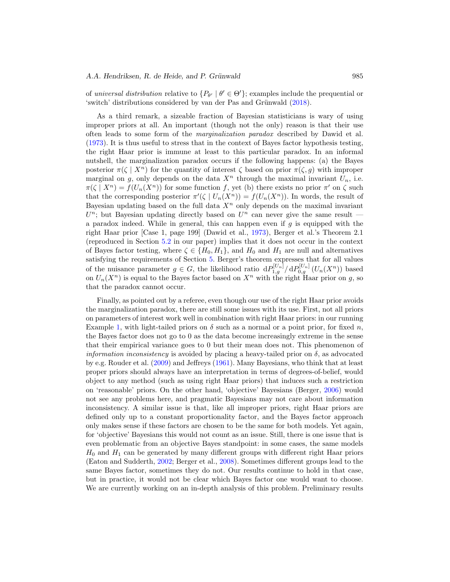<span id="page-24-0"></span>of universal distribution relative to  $\{P_{\theta'} \mid \theta' \in \Theta'\}$ ; examples include the prequential or 'switch' distributions considered by van der Pas and Grünwald [\(2018\)](#page-27-11).

As a third remark, a sizeable fraction of Bayesian statisticians is wary of using improper priors at all. An important (though not the only) reason is that their use often leads to some form of the marginalization paradox described by Dawid et al. [\(1973\)](#page-26-4). It is thus useful to stress that in the context of Bayes factor hypothesis testing, the right Haar prior is immune at least to this particular paradox. In an informal nutshell, the marginalization paradox occurs if the following happens: (a) the Bayes posterior  $\pi(\zeta \mid X^n)$  for the quantity of interest  $\zeta$  based on prior  $\pi(\zeta, g)$  with improper marginal on g, only depends on the data  $X<sup>n</sup>$  through the maximal invariant  $U<sub>n</sub>$ , i.e.  $\pi(\zeta | X^n) = f(U_n(X^n))$  for some function f, yet (b) there exists no prior  $\pi'$  on  $\zeta$  such that the corresponding posterior  $\pi'(\zeta | U_n(X^n)) = f(U_n(X^n))$ . In words, the result of Bayesian updating based on the full data  $X<sup>n</sup>$  only depends on the maximal invariant  $U<sup>n</sup>$ ; but Bayesian updating directly based on  $U<sup>n</sup>$  can never give the same result a paradox indeed. While in general, this can happen even if  $q$  is equipped with the right Haar prior [Case 1, page 199] (Dawid et al., [1973](#page-26-4)), Berger et al.'s Theorem 2.1 (reproduced in Section [5.2](#page-19-1) in our paper) implies that it does not occur in the context of Bayes factor testing, where  $\zeta \in \{H_0, H_1\}$ , and  $H_0$  and  $H_1$  are null and alternatives satisfying the requirements of Section [5.](#page-16-0) Berger's theorem expresses that for all values of the nuisance parameter  $g \in G$ , the likelihood ratio  $dP_{1,g}^{[U_n]}/dP_{0,g}^{[U_n]}(U_n(X^n))$  based on  $U_n(X^n)$  is equal to the Bayes factor based on  $X^n$  with the right Haar prior on g, so that the paradox cannot occur.

Finally, as pointed out by a referee, even though our use of the right Haar prior avoids the marginalization paradox, there are still some issues with its use. First, not all priors on parameters of interest work well in combination with right Haar priors: in our running Example [1,](#page-9-0) with light-tailed priors on  $\delta$  such as a normal or a point prior, for fixed n, the Bayes factor does not go to 0 as the data become increasingly extreme in the sense that their empirical variance goes to 0 but their mean does not. This phenomenon of *information inconsistency* is avoided by placing a heavy-tailed prior on  $\delta$ , as advocated by e.g. Rouder et al. [\(2009\)](#page-27-6) and Jeffreys [\(1961\)](#page-27-9). Many Bayesians, who think that at least proper priors should always have an interpretation in terms of degrees-of-belief, would object to any method (such as using right Haar priors) that induces such a restriction on 'reasonable' priors. On the other hand, 'objective' Bayesians (Berger, [2006\)](#page-25-8) would not see any problems here, and pragmatic Bayesians may not care about information inconsistency. A similar issue is that, like all improper priors, right Haar priors are defined only up to a constant proportionality factor, and the Bayes factor approach only makes sense if these factors are chosen to be the same for both models. Yet again, for 'objective' Bayesians this would not count as an issue. Still, there is one issue that is even problematic from an objective Bayes standpoint: in some cases, the same models  $H_0$  and  $H_1$  can be generated by many different groups with different right Haar priors (Eaton and Sudderth, [2002](#page-26-14); Berger et al., [2008\)](#page-25-9). Sometimes different groups lead to the same Bayes factor, sometimes they do not. Our results continue to hold in that case, but in practice, it would not be clear which Bayes factor one would want to choose. We are currently working on an in-depth analysis of this problem. Preliminary results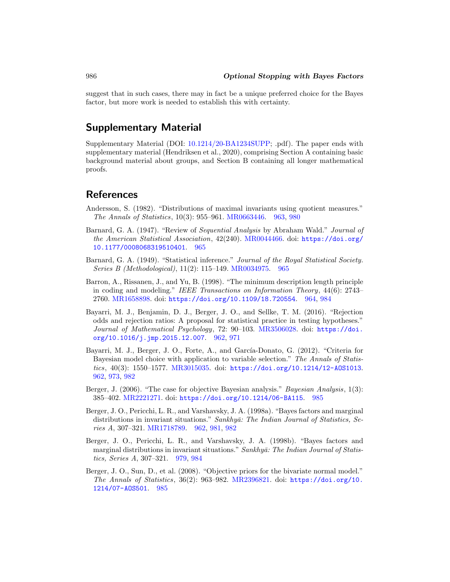suggest that in such cases, there may in fact be a unique preferred choice for the Bayes factor, but more work is needed to establish this with certainty.

# **Supplementary Material**

Supplementary Material (DOI: [10.1214/20-BA1234SUPP;](https://doi.org/10.1214/20-BA1234SUPP) .pdf). The paper ends with supplementary material (Hendriksen et al., 2020), comprising Section A containing basic background material about groups, and Section B containing all longer mathematical proofs.

# **References**

- <span id="page-25-3"></span>Andersson, S. (1982). "Distributions of maximal invariants using quotient measures." The Annals of Statistics, 10(3): 955–961. [MR0663446.](https://www.ams.org/mathscinet-getitem?mr=0663446) [963,](#page-2-1) [980](#page-19-2)
- <span id="page-25-5"></span>Barnard, G. A. (1947). "Review of Sequential Analysis by Abraham Wald." Journal of the American Statistical Association, 42(240). [MR0044466.](https://www.ams.org/mathscinet-getitem?mr=0044466) doi: [https://doi.org/](https://doi.org/10.1177/0008068319510401) [10.1177/0008068319510401](https://doi.org/10.1177/0008068319510401). [965](#page-4-3)
- <span id="page-25-6"></span>Barnard, G. A. (1949). "Statistical inference." Journal of the Royal Statistical Society. Series B (Methodological), 11(2): 115–149. [MR0034975.](https://www.ams.org/mathscinet-getitem?mr=0034975) [965](#page-4-3)
- <span id="page-25-4"></span>Barron, A., Rissanen, J., and Yu, B. (1998). "The minimum description length principle in coding and modeling." IEEE Transactions on Information Theory, 44(6): 2743– 2760. [MR1658898.](https://www.ams.org/mathscinet-getitem?mr=1658898) doi: <https://doi.org/10.1109/18.720554>. [964,](#page-3-2) [984](#page-23-1)
- <span id="page-25-2"></span>Bayarri, M. J., Benjamin, D. J., Berger, J. O., and Sellke, T. M. (2016). "Rejection odds and rejection ratios: A proposal for statistical practice in testing hypotheses." Journal of Mathematical Psychology, 72: 90–103. [MR3506028.](https://www.ams.org/mathscinet-getitem?mr=3506028) doi: [https://doi.](https://doi.org/10.1016/j.jmp.2015.12.007) [org/10.1016/j.jmp.2015.12.007](https://doi.org/10.1016/j.jmp.2015.12.007). [962,](#page-1-0) [971](#page-10-1)
- <span id="page-25-1"></span>Bayarri, M. J., Berger, J. O., Forte, A., and García-Donato, G. (2012). "Criteria for Bayesian model choice with application to variable selection." The Annals of Statistics, 40(3): 1550–1577. [MR3015035.](https://www.ams.org/mathscinet-getitem?mr=3015035) doi: <https://doi.org/10.1214/12-AOS1013>. [962,](#page-1-0) [973,](#page-12-4) [982](#page-21-1)
- <span id="page-25-8"></span>Berger, J. (2006). "The case for objective Bayesian analysis." *Bayesian Analysis*, 1(3): 385–402. [MR2221271.](https://www.ams.org/mathscinet-getitem?mr=2221271) doi: <https://doi.org/10.1214/06-BA115>. [985](#page-24-0)
- <span id="page-25-0"></span>Berger, J. O., Pericchi, L. R., and Varshavsky, J. A. (1998a). "Bayes factors and marginal distributions in invariant situations." Sankhyā: The Indian Journal of Statistics, Series A, 307–321. [MR1718789.](https://www.ams.org/mathscinet-getitem?mr=1718789) [962,](#page-1-0) [981,](#page-20-3) [982](#page-21-1)
- <span id="page-25-7"></span>Berger, J. O., Pericchi, L. R., and Varshavsky, J. A. (1998b). "Bayes factors and marginal distributions in invariant situations." Sankhyā: The Indian Journal of Statistics, Series A, 307–321. [979,](#page-18-2) [984](#page-23-1)
- <span id="page-25-9"></span>Berger, J. O., Sun, D., et al. (2008). "Objective priors for the bivariate normal model." The Annals of Statistics, 36(2): 963–982. [MR2396821.](https://www.ams.org/mathscinet-getitem?mr=2396821) doi: [https://doi.org/10.](https://doi.org/10.1214/07-AOS501) [1214/07-AOS501](https://doi.org/10.1214/07-AOS501). [985](#page-24-0)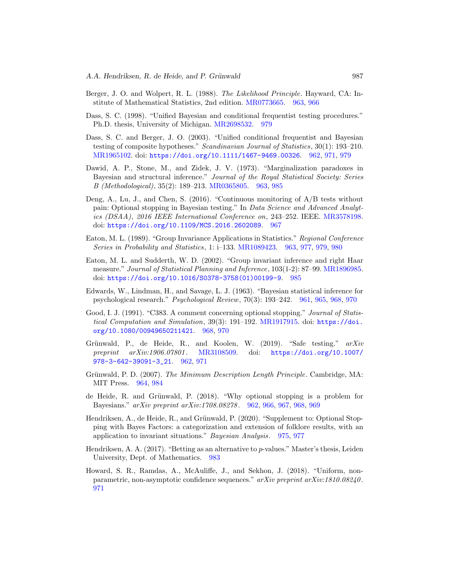- <span id="page-26-6"></span>Berger, J. O. and Wolpert, R. L. (1988). The Likelihood Principle. Hayward, CA: Institute of Mathematical Statistics, 2nd edition. [MR0773665.](https://www.ams.org/mathscinet-getitem?mr=0773665) [963,](#page-2-1) [966](#page-5-2)
- <span id="page-26-12"></span>Dass, S. C. (1998). "Unified Bayesian and conditional frequentist testing procedures." Ph.D. thesis, University of Michigan. [MR2698532.](https://www.ams.org/mathscinet-getitem?mr=2698532) [979](#page-18-2)
- <span id="page-26-3"></span>Dass, S. C. and Berger, J. O. (2003). "Unified conditional frequentist and Bayesian testing of composite hypotheses." Scandinavian Journal of Statistics, 30(1): 193–210. [MR1965102.](https://www.ams.org/mathscinet-getitem?mr=1965102) doi: <https://doi.org/10.1111/1467-9469.00326>. [962,](#page-1-0) [971,](#page-10-1) [979](#page-18-2)
- <span id="page-26-4"></span>Dawid, A. P., Stone, M., and Zidek, J. V. (1973). "Marginalization paradoxes in Bayesian and structural inference." Journal of the Royal Statistical Society: Series B (Methodological), 35(2): 189–213. [MR0365805.](https://www.ams.org/mathscinet-getitem?mr=0365805) [963,](#page-2-1) [985](#page-24-0)
- <span id="page-26-8"></span>Deng, A., Lu, J., and Chen, S.  $(2016)$ . "Continuous monitoring of  $A/B$  tests without pain: Optional stopping in Bayesian testing." In Data Science and Advanced Analytics (DSAA), 2016 IEEE International Conference on, 243–252. IEEE. [MR3578198.](https://www.ams.org/mathscinet-getitem?mr=3578198) doi: <https://doi.org/10.1109/MCS.2016.2602089>. [967](#page-6-2)
- <span id="page-26-5"></span>Eaton, M. L. (1989). "Group Invariance Applications in Statistics." Regional Conference Series in Probability and Statistics, 1: i–133. [MR1089423.](https://www.ams.org/mathscinet-getitem?mr=1089423) [963,](#page-2-1) [977,](#page-16-3) [979,](#page-18-2) [980](#page-19-2)
- <span id="page-26-14"></span>Eaton, M. L. and Sudderth, W. D. (2002). "Group invariant inference and right Haar measure." Journal of Statistical Planning and Inference, 103(1-2): 87–99. [MR1896985.](https://www.ams.org/mathscinet-getitem?mr=1896985) doi: [https://doi.org/10.1016/S0378-3758\(01\)00199-9](https://doi.org/10.1016/S0378-3758(01)00199-9). [985](#page-24-0)
- <span id="page-26-0"></span>Edwards, W., Lindman, H., and Savage, L. J. (1963). "Bayesian statistical inference for psychological research." Psychological Review, 70(3): 193–242. [961,](#page-0-2) [965,](#page-4-3) [968,](#page-7-2) [970](#page-9-3)
- <span id="page-26-9"></span>Good, I. J. (1991). "C383. A comment concerning optional stopping." Journal of Statistical Computation and Simulation, 39(3): 191–192. [MR1917915.](https://www.ams.org/mathscinet-getitem?mr=1917915) doi: [https://doi.](https://doi.org/10.1080/00949650211421) [org/10.1080/00949650211421](https://doi.org/10.1080/00949650211421). [968,](#page-7-2) [970](#page-9-3)
- <span id="page-26-2"></span>Grünwald, P., de Heide, R., and Koolen, W. (2019). "Safe testing."  $arXiv$ preprint arXiv:1906.07801 . [MR3108509.](https://www.ams.org/mathscinet-getitem?mr=3108509) doi: [https://doi.org/10.1007/](https://doi.org/10.1007/978-3-642-39091-3_21) [978-3-642-39091-3\\_21](https://doi.org/10.1007/978-3-642-39091-3_21). [962,](#page-1-0) [971](#page-10-1)
- <span id="page-26-7"></span>Grünwald, P. D. (2007). The Minimum Description Length Principle. Cambridge, MA: MIT Press. [964,](#page-3-2) [984](#page-23-1)
- <span id="page-26-1"></span>de Heide, R. and Grünwald, P.  $(2018)$ . "Why optional stopping is a problem for Bayesians." arXiv preprint arXiv:1708.08278 . [962,](#page-1-0) [966,](#page-5-2) [967,](#page-6-2) [968,](#page-7-2) [969](#page-8-1)
- <span id="page-26-11"></span>Hendriksen, A., de Heide, R., and Grünwald, P. (2020). "Supplement to: Optional Stopping with Bayes Factors: a categorization and extension of folklore results, with an application to invariant situations." Bayesian Analysis. [975,](#page-14-6) [977](#page-16-3)
- <span id="page-26-13"></span>Hendriksen, A. A. (2017). "Betting as an alternative to  $p$ -values." Master's thesis, Leiden University, Dept. of Mathematics. [983](#page-22-3)
- <span id="page-26-10"></span>Howard, S. R., Ramdas, A., McAuliffe, J., and Sekhon, J. (2018). "Uniform, nonparametric, non-asymptotic confidence sequences." arXiv preprint arXiv:1810.08240 . [971](#page-10-1)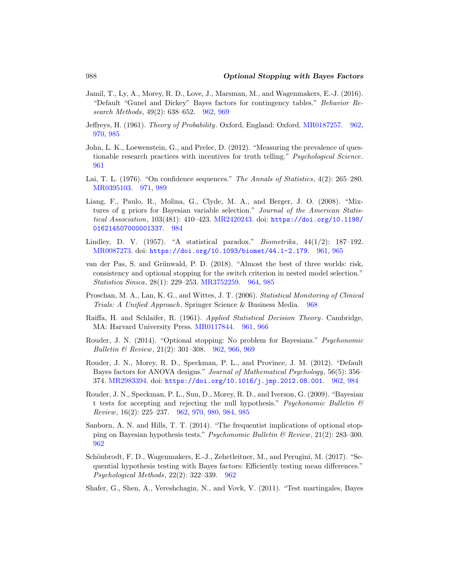- <span id="page-27-8"></span>Jamil, T., Ly, A., Morey, R. D., Love, J., Marsman, M., and Wagenmakers, E.-J. (2016). "Default "Gunel and Dickey" Bayes factors for contingency tables." Behavior Research Methods, 49(2): 638–652. [962,](#page-1-0) [969](#page-8-1)
- <span id="page-27-9"></span>Jeffreys, H. (1961). Theory of Probability. Oxford, England: Oxford. [MR0187257.](https://www.ams.org/mathscinet-getitem?mr=0187257) [962,](#page-1-0) [970,](#page-9-3) [985](#page-24-0)
- <span id="page-27-0"></span>John, L. K., Loewenstein, G., and Prelec, D. (2012). "Measuring the prevalence of questionable research practices with incentives for truth telling." Psychological Science. [961](#page-0-2)
- <span id="page-27-13"></span>Lai, T. L. (1976). "On confidence sequences." The Annals of Statistics, 4(2): 265–280. [MR0395103.](https://www.ams.org/mathscinet-getitem?mr=0395103) [971,](#page-10-1) [989](#page-28-3)
- <span id="page-27-14"></span>Liang, F., Paulo, R., Molina, G., Clyde, M. A., and Berger, J. O. (2008). "Mixtures of g priors for Bayesian variable selection." Journal of the American Statistical Association, 103(481): 410–423. [MR2420243.](https://www.ams.org/mathscinet-getitem?mr=2420243) doi: [https://doi.org/10.1198/](https://doi.org/10.1198/016214507000001337) [016214507000001337](https://doi.org/10.1198/016214507000001337). [984](#page-23-1)
- <span id="page-27-1"></span>Lindley, D. V. (1957). "A statistical paradox." *Biometrika*,  $44(1/2)$ : 187-192. [MR0087273.](https://www.ams.org/mathscinet-getitem?mr=0087273) doi: <https://doi.org/10.1093/biomet/44.1-2.179>. [961,](#page-0-2) [965](#page-4-3)
- <span id="page-27-11"></span>van der Pas, S. and Grünwald, P. D. (2018). "Almost the best of three worlds: risk, consistency and optional stopping for the switch criterion in nested model selection." Statistica Sinica, 28(1): 229–253. [MR3752259.](https://www.ams.org/mathscinet-getitem?mr=3752259) [964,](#page-3-2) [985](#page-24-0)
- <span id="page-27-12"></span>Proschan, M. A., Lan, K. G., and Wittes, J. T. (2006). Statistical Monitoring of Clinical Trials: A Unified Approach. Springer Science & Business Media. [968](#page-7-2)
- <span id="page-27-2"></span>Raiffa, H. and Schlaifer, R. (1961). Applied Statistical Decision Theory. Cambridge, MA: Harvard University Press. [MR0117844.](https://www.ams.org/mathscinet-getitem?mr=0117844) [961,](#page-0-2) [966](#page-5-2)
- <span id="page-27-3"></span>Rouder, J. N. (2014). "Optional stopping: No problem for Bayesians." Psychonomic Bulletin & Review, 21(2): 301–308. [962,](#page-1-0) [966,](#page-5-2) [969](#page-8-1)
- <span id="page-27-7"></span>Rouder, J. N., Morey, R. D., Speckman, P. L., and Province, J. M. (2012). "Default Bayes factors for ANOVA designs." Journal of Mathematical Psychology, 56(5): 356– 374. [MR2983394.](https://www.ams.org/mathscinet-getitem?mr=2983394) doi: <https://doi.org/10.1016/j.jmp.2012.08.001>. [962,](#page-1-0) [984](#page-23-1)
- <span id="page-27-6"></span>Rouder, J. N., Speckman, P. L., Sun, D., Morey, R. D., and Iverson, G. (2009). "Bayesian t tests for accepting and rejecting the null hypothesis." Psychonomic Bulletin  $\mathcal B$ Review, 16(2): 225–237. [962,](#page-1-0) [970,](#page-9-3) [980,](#page-19-2) [984,](#page-23-1) [985](#page-24-0)
- <span id="page-27-5"></span>Sanborn, A. N. and Hills, T. T. (2014). "The frequentist implications of optional stopping on Bayesian hypothesis tests." Psychonomic Bulletin & Review, 21(2): 283–300. [962](#page-1-0)
- <span id="page-27-4"></span>Schönbrodt, F. D., Wagenmakers, E.-J., Zehetleitner, M., and Perugini, M. (2017). "Sequential hypothesis testing with Bayes factors: Efficiently testing mean differences." Psychological Methods, 22(2): 322–339. [962](#page-1-0)
- <span id="page-27-10"></span>Shafer, G., Shen, A., Vereshchagin, N., and Vovk, V. (2011). "Test martingales, Bayes